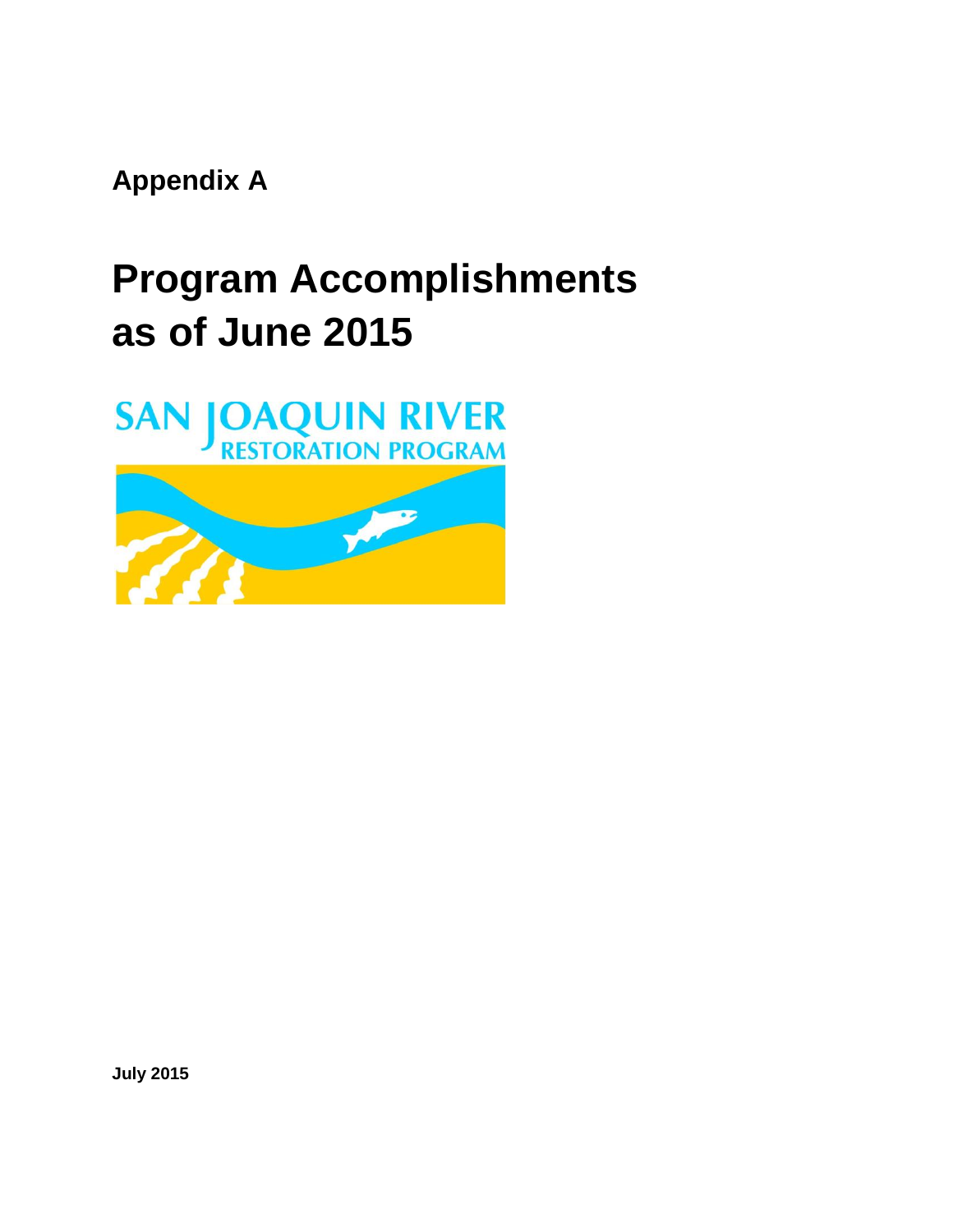**Appendix A** 

# **Program Accomplishments as of June 2015**



**July 2015**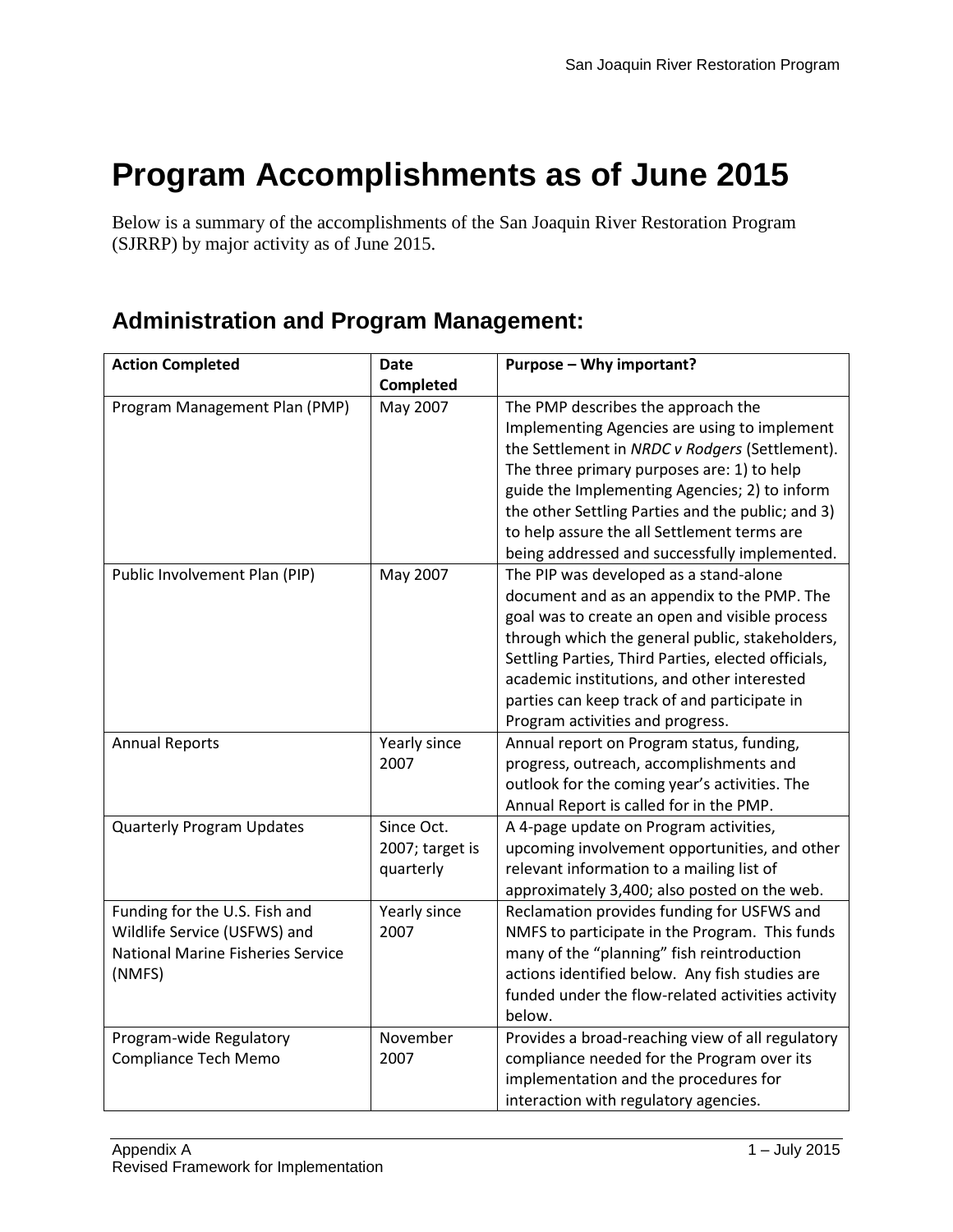# **Program Accomplishments as of June 2015**

Below is a summary of the accomplishments of the San Joaquin River Restoration Program (SJRRP) by major activity as of June 2015.

#### **Administration and Program Management:**

| <b>Action Completed</b>                                                                                             | <b>Date</b>                                | Purpose - Why important?                                                                                                                                                                                                                                                                                                                                                                 |
|---------------------------------------------------------------------------------------------------------------------|--------------------------------------------|------------------------------------------------------------------------------------------------------------------------------------------------------------------------------------------------------------------------------------------------------------------------------------------------------------------------------------------------------------------------------------------|
|                                                                                                                     | Completed                                  |                                                                                                                                                                                                                                                                                                                                                                                          |
| Program Management Plan (PMP)                                                                                       | May 2007                                   | The PMP describes the approach the<br>Implementing Agencies are using to implement<br>the Settlement in NRDC v Rodgers (Settlement).<br>The three primary purposes are: 1) to help<br>guide the Implementing Agencies; 2) to inform<br>the other Settling Parties and the public; and 3)<br>to help assure the all Settlement terms are<br>being addressed and successfully implemented. |
| Public Involvement Plan (PIP)                                                                                       | May 2007                                   | The PIP was developed as a stand-alone<br>document and as an appendix to the PMP. The<br>goal was to create an open and visible process<br>through which the general public, stakeholders,<br>Settling Parties, Third Parties, elected officials,<br>academic institutions, and other interested<br>parties can keep track of and participate in<br>Program activities and progress.     |
| <b>Annual Reports</b>                                                                                               | Yearly since<br>2007                       | Annual report on Program status, funding,<br>progress, outreach, accomplishments and<br>outlook for the coming year's activities. The<br>Annual Report is called for in the PMP.                                                                                                                                                                                                         |
| <b>Quarterly Program Updates</b>                                                                                    | Since Oct.<br>2007; target is<br>quarterly | A 4-page update on Program activities,<br>upcoming involvement opportunities, and other<br>relevant information to a mailing list of<br>approximately 3,400; also posted on the web.                                                                                                                                                                                                     |
| Funding for the U.S. Fish and<br>Wildlife Service (USFWS) and<br><b>National Marine Fisheries Service</b><br>(NMFS) | Yearly since<br>2007                       | Reclamation provides funding for USFWS and<br>NMFS to participate in the Program. This funds<br>many of the "planning" fish reintroduction<br>actions identified below. Any fish studies are<br>funded under the flow-related activities activity<br>below.                                                                                                                              |
| Program-wide Regulatory<br><b>Compliance Tech Memo</b>                                                              | November<br>2007                           | Provides a broad-reaching view of all regulatory<br>compliance needed for the Program over its<br>implementation and the procedures for<br>interaction with regulatory agencies.                                                                                                                                                                                                         |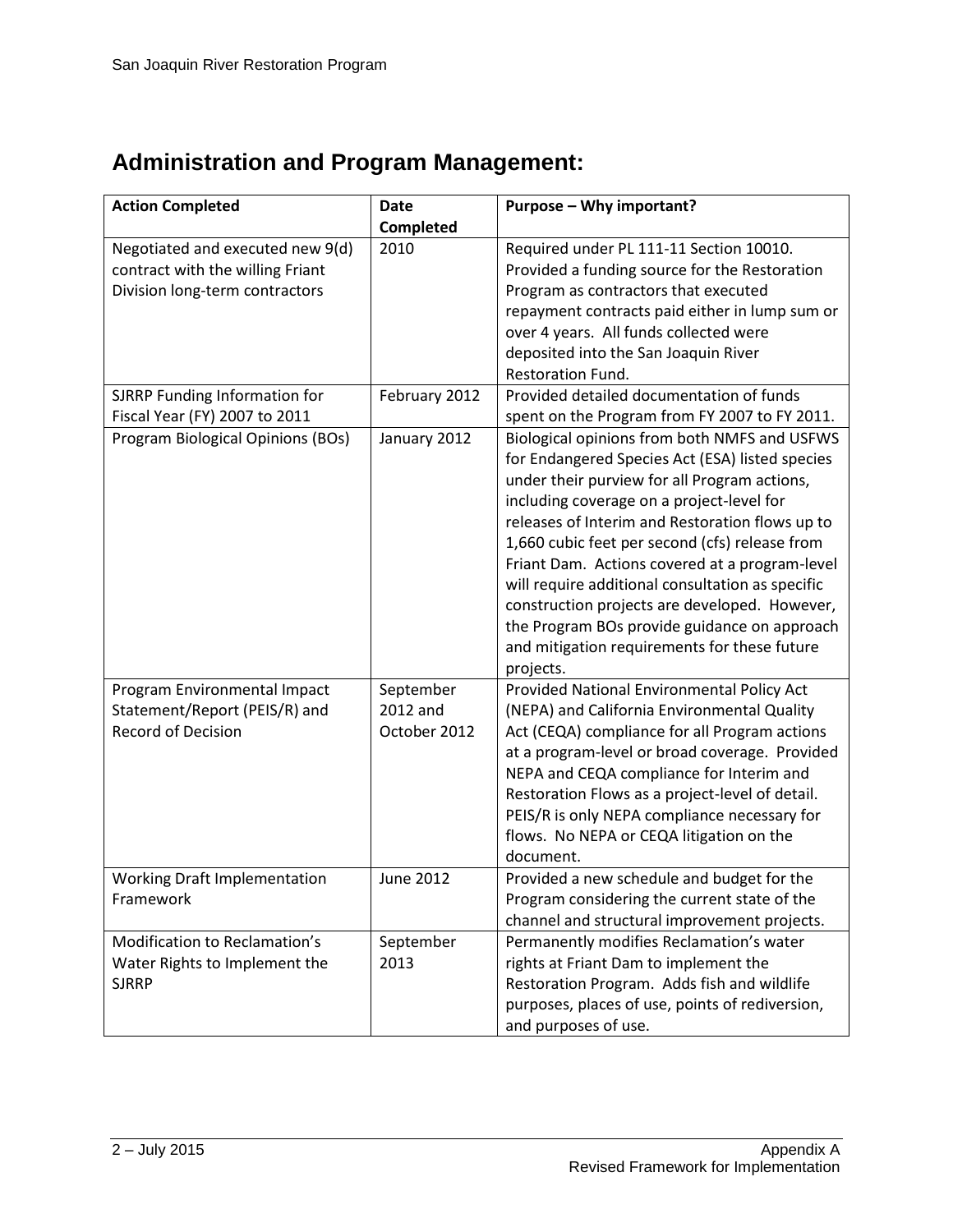# **Administration and Program Management:**

| <b>Action Completed</b>             | <b>Date</b>      | Purpose - Why important?                         |
|-------------------------------------|------------------|--------------------------------------------------|
|                                     | Completed        |                                                  |
| Negotiated and executed new 9(d)    | 2010             | Required under PL 111-11 Section 10010.          |
| contract with the willing Friant    |                  | Provided a funding source for the Restoration    |
| Division long-term contractors      |                  | Program as contractors that executed             |
|                                     |                  | repayment contracts paid either in lump sum or   |
|                                     |                  | over 4 years. All funds collected were           |
|                                     |                  | deposited into the San Joaquin River             |
|                                     |                  | Restoration Fund.                                |
| SJRRP Funding Information for       | February 2012    | Provided detailed documentation of funds         |
| Fiscal Year (FY) 2007 to 2011       |                  | spent on the Program from FY 2007 to FY 2011.    |
| Program Biological Opinions (BOs)   | January 2012     | Biological opinions from both NMFS and USFWS     |
|                                     |                  | for Endangered Species Act (ESA) listed species  |
|                                     |                  | under their purview for all Program actions,     |
|                                     |                  | including coverage on a project-level for        |
|                                     |                  | releases of Interim and Restoration flows up to  |
|                                     |                  | 1,660 cubic feet per second (cfs) release from   |
|                                     |                  | Friant Dam. Actions covered at a program-level   |
|                                     |                  | will require additional consultation as specific |
|                                     |                  | construction projects are developed. However,    |
|                                     |                  | the Program BOs provide guidance on approach     |
|                                     |                  | and mitigation requirements for these future     |
|                                     |                  | projects.                                        |
| Program Environmental Impact        | September        | Provided National Environmental Policy Act       |
| Statement/Report (PEIS/R) and       | 2012 and         | (NEPA) and California Environmental Quality      |
| <b>Record of Decision</b>           | October 2012     | Act (CEQA) compliance for all Program actions    |
|                                     |                  | at a program-level or broad coverage. Provided   |
|                                     |                  | NEPA and CEQA compliance for Interim and         |
|                                     |                  | Restoration Flows as a project-level of detail.  |
|                                     |                  | PEIS/R is only NEPA compliance necessary for     |
|                                     |                  | flows. No NEPA or CEQA litigation on the         |
|                                     |                  | document.                                        |
| <b>Working Draft Implementation</b> | <b>June 2012</b> | Provided a new schedule and budget for the       |
| Framework                           |                  | Program considering the current state of the     |
|                                     |                  | channel and structural improvement projects.     |
| Modification to Reclamation's       | September        | Permanently modifies Reclamation's water         |
| Water Rights to Implement the       | 2013             | rights at Friant Dam to implement the            |
| <b>SJRRP</b>                        |                  | Restoration Program. Adds fish and wildlife      |
|                                     |                  | purposes, places of use, points of rediversion,  |
|                                     |                  | and purposes of use.                             |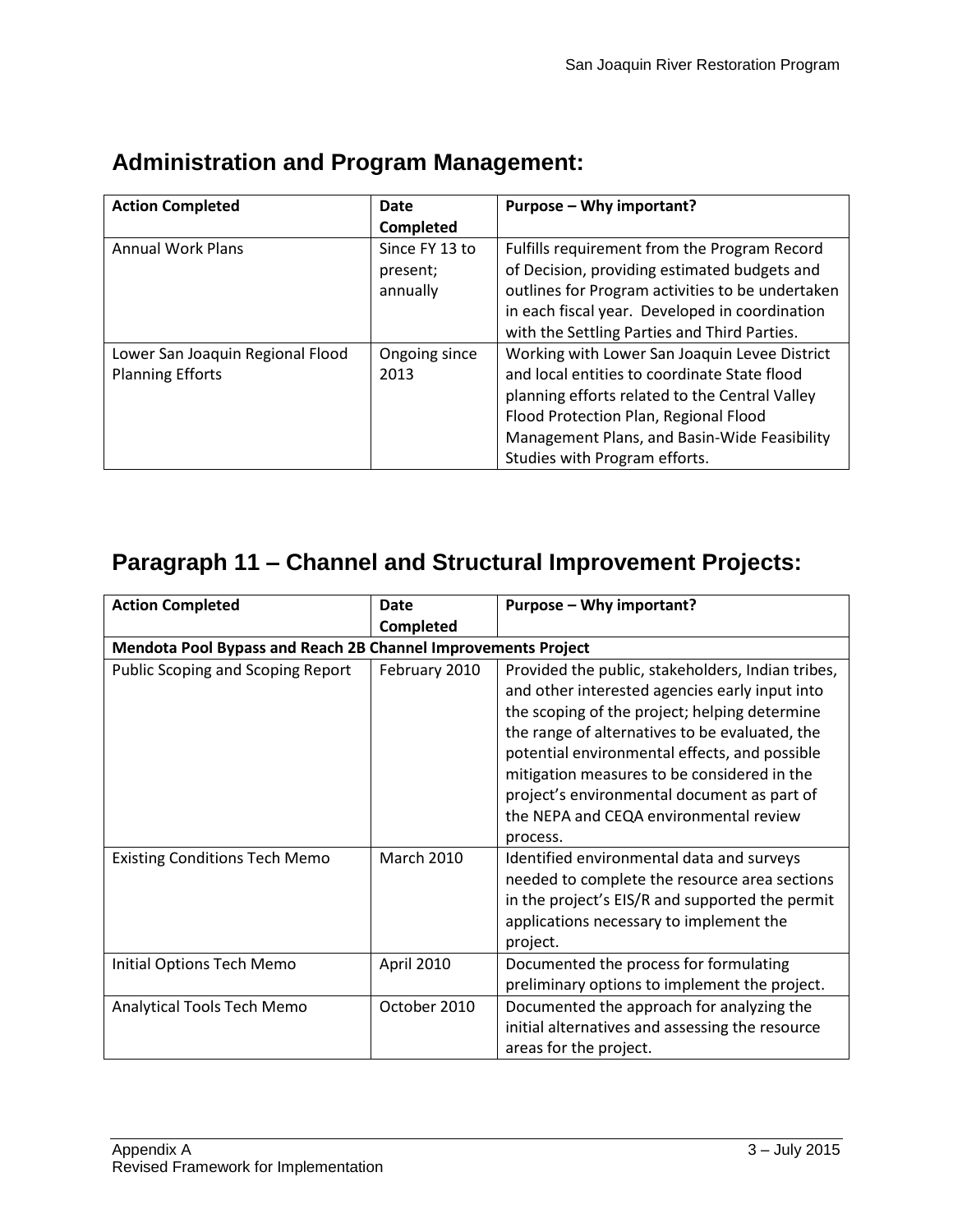| <b>Action Completed</b>          | Date           | Purpose – Why important?                         |
|----------------------------------|----------------|--------------------------------------------------|
|                                  | Completed      |                                                  |
| <b>Annual Work Plans</b>         | Since FY 13 to | Fulfills requirement from the Program Record     |
|                                  | present;       | of Decision, providing estimated budgets and     |
|                                  | annually       | outlines for Program activities to be undertaken |
|                                  |                | in each fiscal year. Developed in coordination   |
|                                  |                | with the Settling Parties and Third Parties.     |
| Lower San Joaquin Regional Flood | Ongoing since  | Working with Lower San Joaquin Levee District    |
| <b>Planning Efforts</b>          | 2013           | and local entities to coordinate State flood     |
|                                  |                | planning efforts related to the Central Valley   |
|                                  |                | Flood Protection Plan, Regional Flood            |
|                                  |                | Management Plans, and Basin-Wide Feasibility     |
|                                  |                | Studies with Program efforts.                    |

#### **Administration and Program Management:**

| <b>Action Completed</b>                                       | Date              | Purpose - Why important?                                                                                                                                                                                                                                                                                                                                                                                    |
|---------------------------------------------------------------|-------------------|-------------------------------------------------------------------------------------------------------------------------------------------------------------------------------------------------------------------------------------------------------------------------------------------------------------------------------------------------------------------------------------------------------------|
|                                                               | Completed         |                                                                                                                                                                                                                                                                                                                                                                                                             |
| Mendota Pool Bypass and Reach 2B Channel Improvements Project |                   |                                                                                                                                                                                                                                                                                                                                                                                                             |
| <b>Public Scoping and Scoping Report</b>                      | February 2010     | Provided the public, stakeholders, Indian tribes,<br>and other interested agencies early input into<br>the scoping of the project; helping determine<br>the range of alternatives to be evaluated, the<br>potential environmental effects, and possible<br>mitigation measures to be considered in the<br>project's environmental document as part of<br>the NEPA and CEQA environmental review<br>process. |
| <b>Existing Conditions Tech Memo</b>                          | <b>March 2010</b> | Identified environmental data and surveys<br>needed to complete the resource area sections<br>in the project's EIS/R and supported the permit<br>applications necessary to implement the<br>project.                                                                                                                                                                                                        |
| Initial Options Tech Memo                                     | April 2010        | Documented the process for formulating<br>preliminary options to implement the project.                                                                                                                                                                                                                                                                                                                     |
| Analytical Tools Tech Memo                                    | October 2010      | Documented the approach for analyzing the<br>initial alternatives and assessing the resource<br>areas for the project.                                                                                                                                                                                                                                                                                      |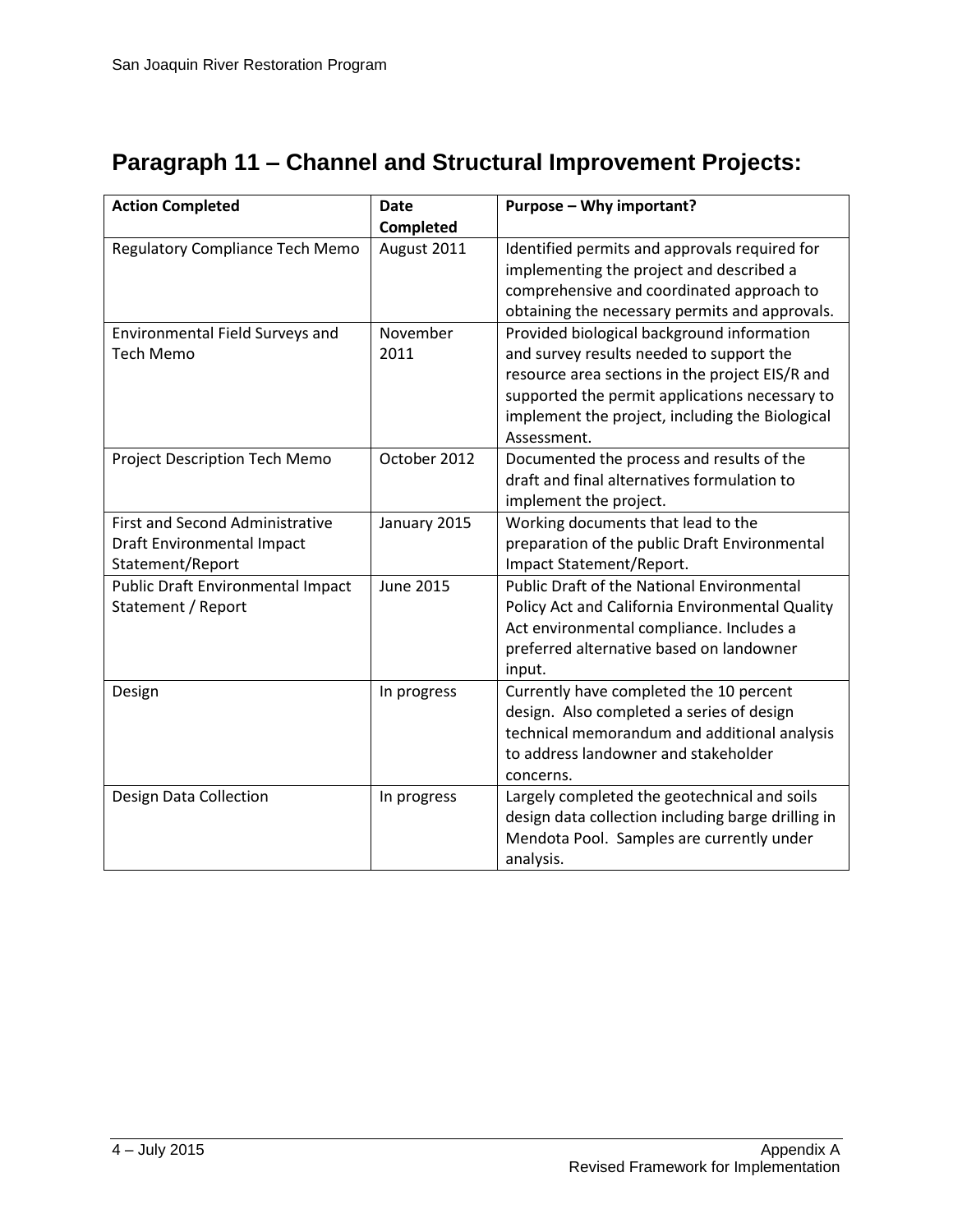| <b>Action Completed</b>                             | <b>Date</b>      | Purpose - Why important?                                                                  |
|-----------------------------------------------------|------------------|-------------------------------------------------------------------------------------------|
|                                                     | Completed        |                                                                                           |
| Regulatory Compliance Tech Memo                     | August 2011      | Identified permits and approvals required for<br>implementing the project and described a |
|                                                     |                  | comprehensive and coordinated approach to                                                 |
|                                                     |                  |                                                                                           |
|                                                     | November         | obtaining the necessary permits and approvals.                                            |
| Environmental Field Surveys and<br><b>Tech Memo</b> | 2011             | Provided biological background information<br>and survey results needed to support the    |
|                                                     |                  | resource area sections in the project EIS/R and                                           |
|                                                     |                  | supported the permit applications necessary to                                            |
|                                                     |                  | implement the project, including the Biological                                           |
|                                                     |                  | Assessment.                                                                               |
| Project Description Tech Memo                       | October 2012     | Documented the process and results of the                                                 |
|                                                     |                  | draft and final alternatives formulation to                                               |
|                                                     |                  | implement the project.                                                                    |
| <b>First and Second Administrative</b>              | January 2015     | Working documents that lead to the                                                        |
| Draft Environmental Impact                          |                  | preparation of the public Draft Environmental                                             |
| Statement/Report                                    |                  | Impact Statement/Report.                                                                  |
| Public Draft Environmental Impact                   | <b>June 2015</b> | <b>Public Draft of the National Environmental</b>                                         |
| Statement / Report                                  |                  | Policy Act and California Environmental Quality                                           |
|                                                     |                  | Act environmental compliance. Includes a                                                  |
|                                                     |                  | preferred alternative based on landowner                                                  |
|                                                     |                  | input.                                                                                    |
| Design                                              | In progress      | Currently have completed the 10 percent                                                   |
|                                                     |                  | design. Also completed a series of design                                                 |
|                                                     |                  | technical memorandum and additional analysis                                              |
|                                                     |                  | to address landowner and stakeholder                                                      |
|                                                     |                  | concerns.                                                                                 |
| Design Data Collection                              | In progress      | Largely completed the geotechnical and soils                                              |
|                                                     |                  | design data collection including barge drilling in                                        |
|                                                     |                  | Mendota Pool. Samples are currently under                                                 |
|                                                     |                  | analysis.                                                                                 |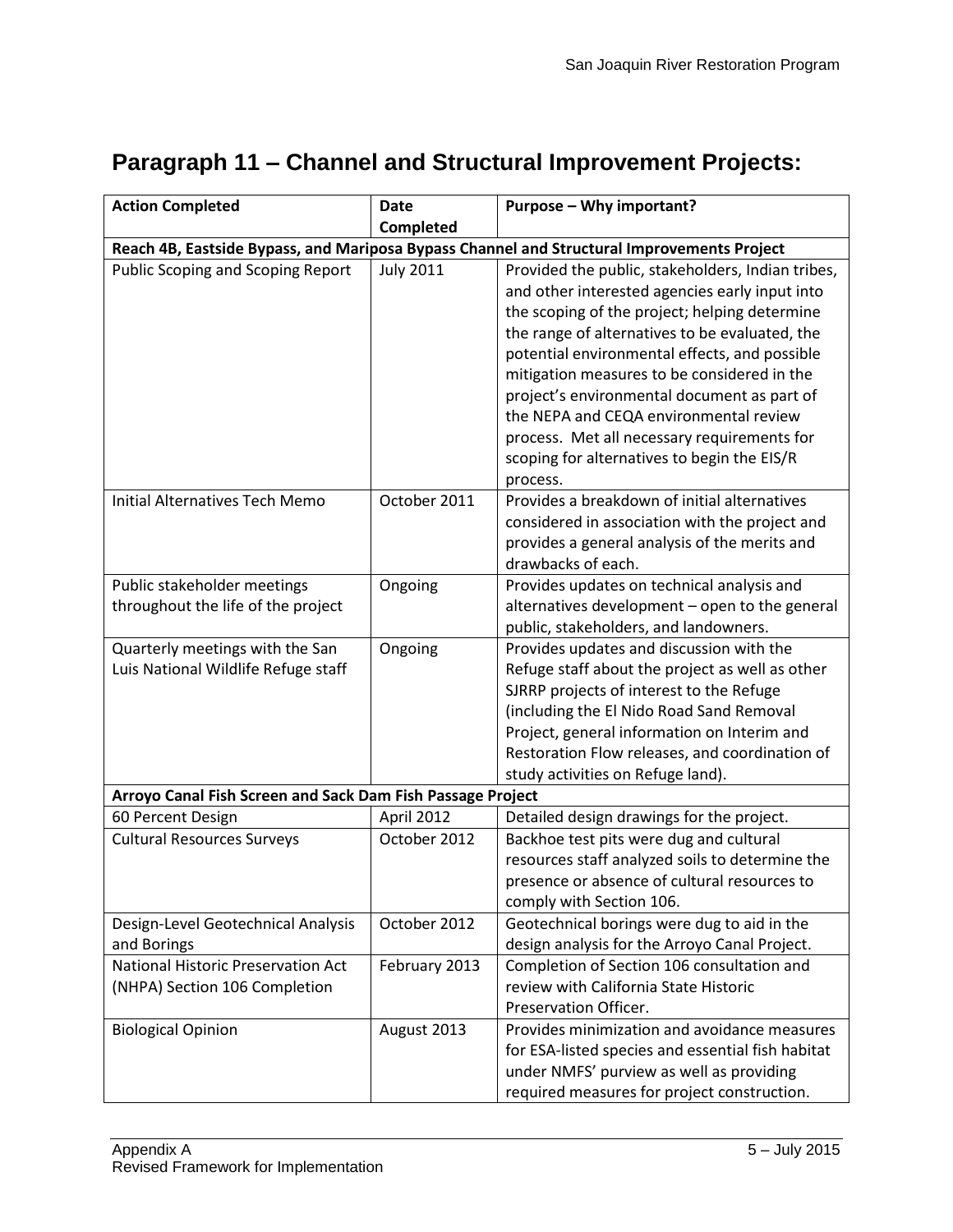| <b>Action Completed</b>                                                | <b>Date</b>      | Purpose - Why important?                                                                                                                                                                                                                                                                                                  |
|------------------------------------------------------------------------|------------------|---------------------------------------------------------------------------------------------------------------------------------------------------------------------------------------------------------------------------------------------------------------------------------------------------------------------------|
|                                                                        | Completed        |                                                                                                                                                                                                                                                                                                                           |
|                                                                        |                  | Reach 4B, Eastside Bypass, and Mariposa Bypass Channel and Structural Improvements Project                                                                                                                                                                                                                                |
| <b>Public Scoping and Scoping Report</b>                               | <b>July 2011</b> | Provided the public, stakeholders, Indian tribes,<br>and other interested agencies early input into<br>the scoping of the project; helping determine                                                                                                                                                                      |
|                                                                        |                  | the range of alternatives to be evaluated, the<br>potential environmental effects, and possible<br>mitigation measures to be considered in the                                                                                                                                                                            |
|                                                                        |                  | project's environmental document as part of<br>the NEPA and CEQA environmental review<br>process. Met all necessary requirements for<br>scoping for alternatives to begin the EIS/R                                                                                                                                       |
|                                                                        |                  | process.                                                                                                                                                                                                                                                                                                                  |
| <b>Initial Alternatives Tech Memo</b>                                  | October 2011     | Provides a breakdown of initial alternatives<br>considered in association with the project and<br>provides a general analysis of the merits and<br>drawbacks of each.                                                                                                                                                     |
| Public stakeholder meetings<br>throughout the life of the project      | Ongoing          | Provides updates on technical analysis and<br>alternatives development - open to the general<br>public, stakeholders, and landowners.                                                                                                                                                                                     |
| Quarterly meetings with the San<br>Luis National Wildlife Refuge staff | Ongoing          | Provides updates and discussion with the<br>Refuge staff about the project as well as other<br>SJRRP projects of interest to the Refuge<br>(including the El Nido Road Sand Removal<br>Project, general information on Interim and<br>Restoration Flow releases, and coordination of<br>study activities on Refuge land). |
| Arroyo Canal Fish Screen and Sack Dam Fish Passage Project             |                  |                                                                                                                                                                                                                                                                                                                           |
| 60 Percent Design                                                      | April 2012       | Detailed design drawings for the project.                                                                                                                                                                                                                                                                                 |
| <b>Cultural Resources Surveys</b>                                      | October 2012     | Backhoe test pits were dug and cultural<br>resources staff analyzed soils to determine the<br>presence or absence of cultural resources to<br>comply with Section 106.                                                                                                                                                    |
| Design-Level Geotechnical Analysis<br>and Borings                      | October 2012     | Geotechnical borings were dug to aid in the<br>design analysis for the Arroyo Canal Project.                                                                                                                                                                                                                              |
| National Historic Preservation Act<br>(NHPA) Section 106 Completion    | February 2013    | Completion of Section 106 consultation and<br>review with California State Historic<br>Preservation Officer.                                                                                                                                                                                                              |
| <b>Biological Opinion</b>                                              | August 2013      | Provides minimization and avoidance measures<br>for ESA-listed species and essential fish habitat<br>under NMFS' purview as well as providing<br>required measures for project construction.                                                                                                                              |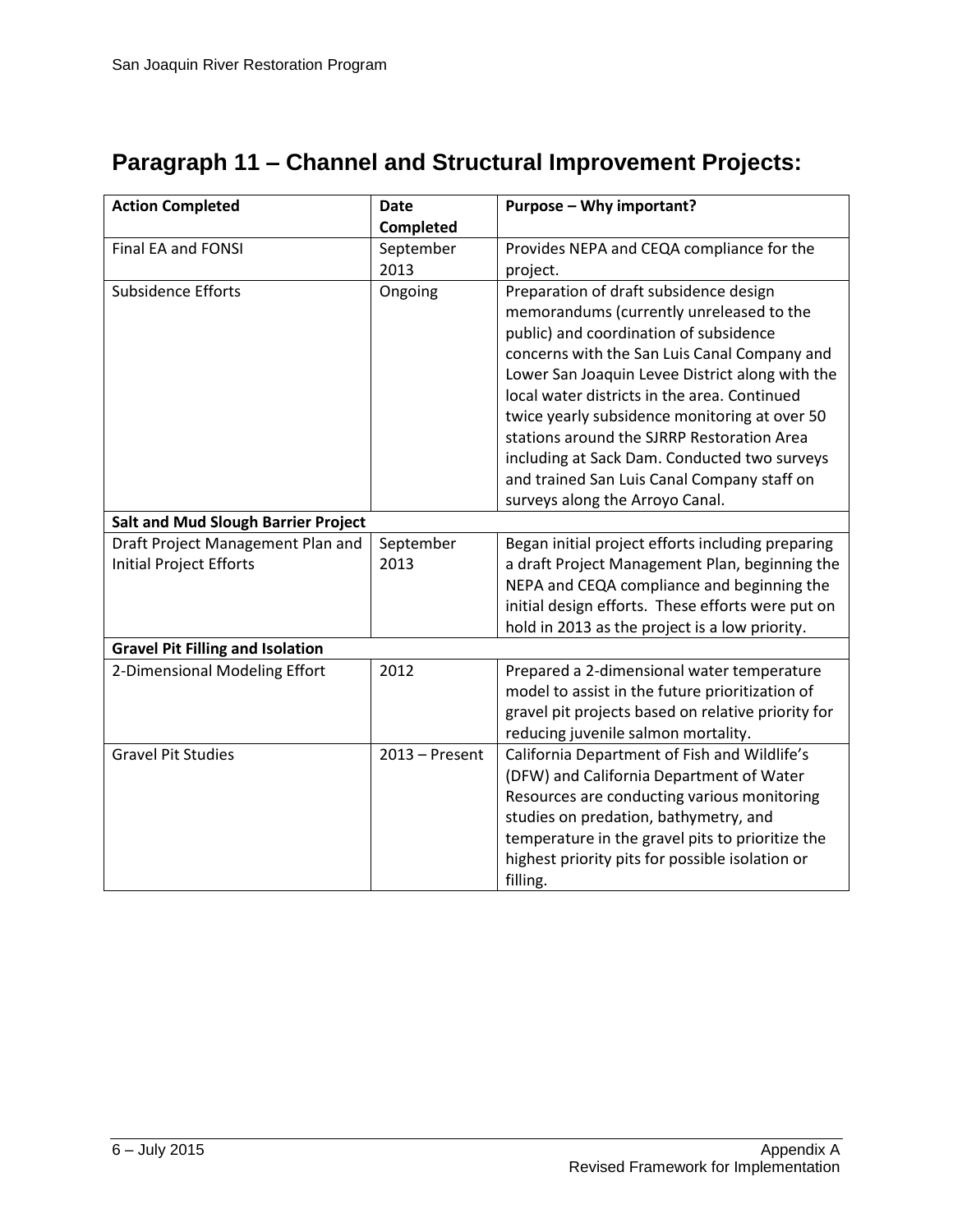| <b>Action Completed</b>                    | <b>Date</b>      | Purpose - Why important?                           |
|--------------------------------------------|------------------|----------------------------------------------------|
|                                            | Completed        |                                                    |
| Final EA and FONSI                         | September        | Provides NEPA and CEQA compliance for the          |
|                                            | 2013             | project.                                           |
| Subsidence Efforts                         | Ongoing          | Preparation of draft subsidence design             |
|                                            |                  | memorandums (currently unreleased to the           |
|                                            |                  | public) and coordination of subsidence             |
|                                            |                  | concerns with the San Luis Canal Company and       |
|                                            |                  | Lower San Joaquin Levee District along with the    |
|                                            |                  | local water districts in the area. Continued       |
|                                            |                  | twice yearly subsidence monitoring at over 50      |
|                                            |                  | stations around the SJRRP Restoration Area         |
|                                            |                  | including at Sack Dam. Conducted two surveys       |
|                                            |                  | and trained San Luis Canal Company staff on        |
|                                            |                  | surveys along the Arroyo Canal.                    |
| <b>Salt and Mud Slough Barrier Project</b> |                  |                                                    |
| Draft Project Management Plan and          | September        | Began initial project efforts including preparing  |
| <b>Initial Project Efforts</b>             | 2013             | a draft Project Management Plan, beginning the     |
|                                            |                  | NEPA and CEQA compliance and beginning the         |
|                                            |                  | initial design efforts. These efforts were put on  |
|                                            |                  | hold in 2013 as the project is a low priority.     |
| <b>Gravel Pit Filling and Isolation</b>    |                  |                                                    |
| 2-Dimensional Modeling Effort              | 2012             | Prepared a 2-dimensional water temperature         |
|                                            |                  | model to assist in the future prioritization of    |
|                                            |                  | gravel pit projects based on relative priority for |
|                                            |                  | reducing juvenile salmon mortality.                |
| <b>Gravel Pit Studies</b>                  | $2013 -$ Present | California Department of Fish and Wildlife's       |
|                                            |                  | (DFW) and California Department of Water           |
|                                            |                  | Resources are conducting various monitoring        |
|                                            |                  | studies on predation, bathymetry, and              |
|                                            |                  | temperature in the gravel pits to prioritize the   |
|                                            |                  | highest priority pits for possible isolation or    |
|                                            |                  | filling.                                           |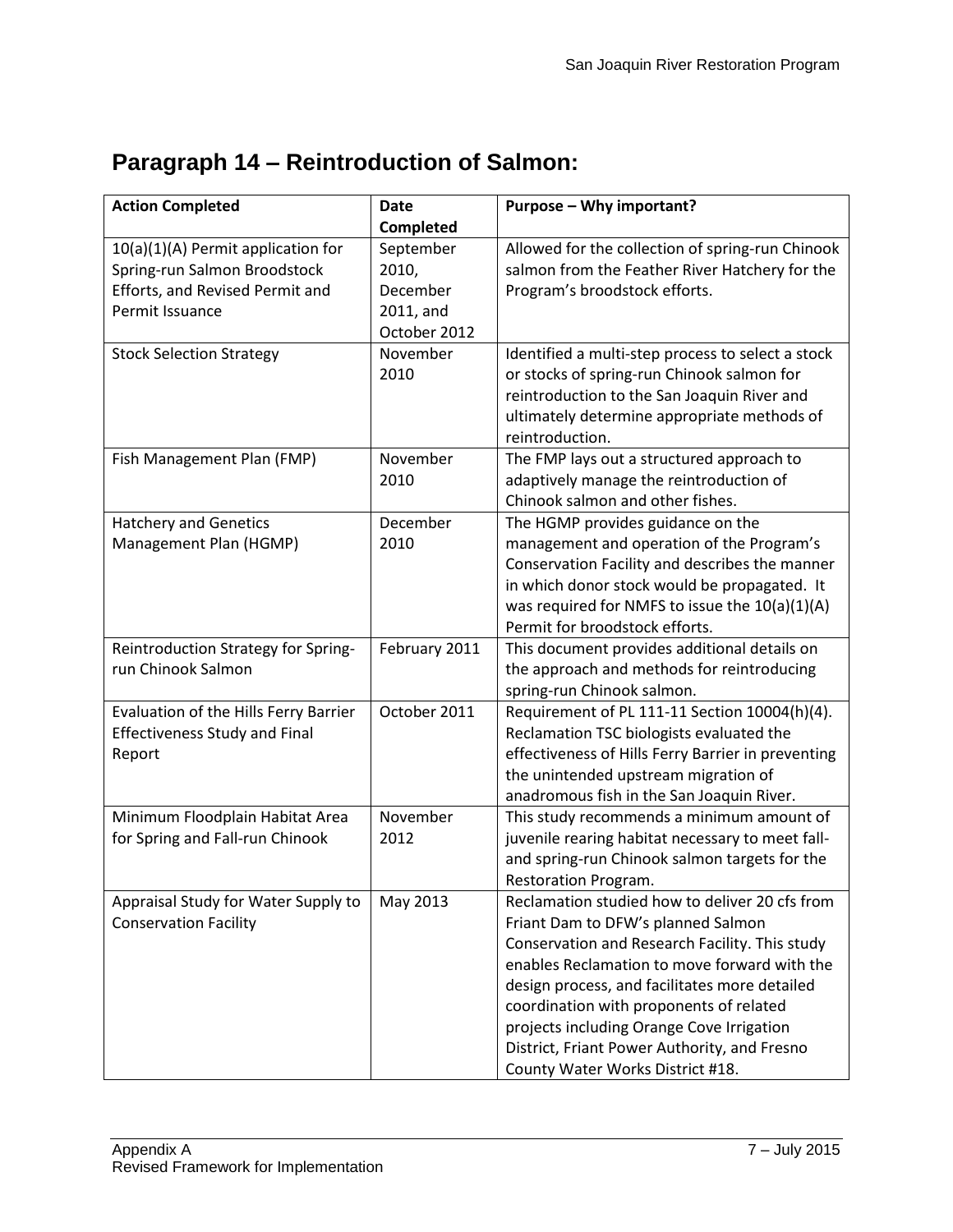| <b>Action Completed</b>                                                                                                  | <b>Date</b>                                                 | Purpose - Why important?                                                                                                                                                                                                                                                                                                                                                                                            |
|--------------------------------------------------------------------------------------------------------------------------|-------------------------------------------------------------|---------------------------------------------------------------------------------------------------------------------------------------------------------------------------------------------------------------------------------------------------------------------------------------------------------------------------------------------------------------------------------------------------------------------|
|                                                                                                                          | Completed                                                   |                                                                                                                                                                                                                                                                                                                                                                                                                     |
| 10(a)(1)(A) Permit application for<br>Spring-run Salmon Broodstock<br>Efforts, and Revised Permit and<br>Permit Issuance | September<br>2010,<br>December<br>2011, and<br>October 2012 | Allowed for the collection of spring-run Chinook<br>salmon from the Feather River Hatchery for the<br>Program's broodstock efforts.                                                                                                                                                                                                                                                                                 |
| <b>Stock Selection Strategy</b>                                                                                          | November<br>2010                                            | Identified a multi-step process to select a stock<br>or stocks of spring-run Chinook salmon for<br>reintroduction to the San Joaquin River and<br>ultimately determine appropriate methods of<br>reintroduction.                                                                                                                                                                                                    |
| Fish Management Plan (FMP)                                                                                               | November<br>2010                                            | The FMP lays out a structured approach to<br>adaptively manage the reintroduction of<br>Chinook salmon and other fishes.                                                                                                                                                                                                                                                                                            |
| <b>Hatchery and Genetics</b><br>Management Plan (HGMP)                                                                   | December<br>2010                                            | The HGMP provides guidance on the<br>management and operation of the Program's<br>Conservation Facility and describes the manner<br>in which donor stock would be propagated. It<br>was required for NMFS to issue the 10(a)(1)(A)<br>Permit for broodstock efforts.                                                                                                                                                |
| Reintroduction Strategy for Spring-<br>run Chinook Salmon                                                                | February 2011                                               | This document provides additional details on<br>the approach and methods for reintroducing<br>spring-run Chinook salmon.                                                                                                                                                                                                                                                                                            |
| Evaluation of the Hills Ferry Barrier<br><b>Effectiveness Study and Final</b><br>Report                                  | October 2011                                                | Requirement of PL 111-11 Section 10004(h)(4).<br>Reclamation TSC biologists evaluated the<br>effectiveness of Hills Ferry Barrier in preventing<br>the unintended upstream migration of<br>anadromous fish in the San Joaquin River.                                                                                                                                                                                |
| Minimum Floodplain Habitat Area<br>for Spring and Fall-run Chinook                                                       | November<br>2012                                            | This study recommends a minimum amount of<br>juvenile rearing habitat necessary to meet fall-<br>and spring-run Chinook salmon targets for the<br>Restoration Program.                                                                                                                                                                                                                                              |
| Appraisal Study for Water Supply to<br><b>Conservation Facility</b>                                                      | May 2013                                                    | Reclamation studied how to deliver 20 cfs from<br>Friant Dam to DFW's planned Salmon<br>Conservation and Research Facility. This study<br>enables Reclamation to move forward with the<br>design process, and facilitates more detailed<br>coordination with proponents of related<br>projects including Orange Cove Irrigation<br>District, Friant Power Authority, and Fresno<br>County Water Works District #18. |

# **Paragraph 14 – Reintroduction of Salmon:**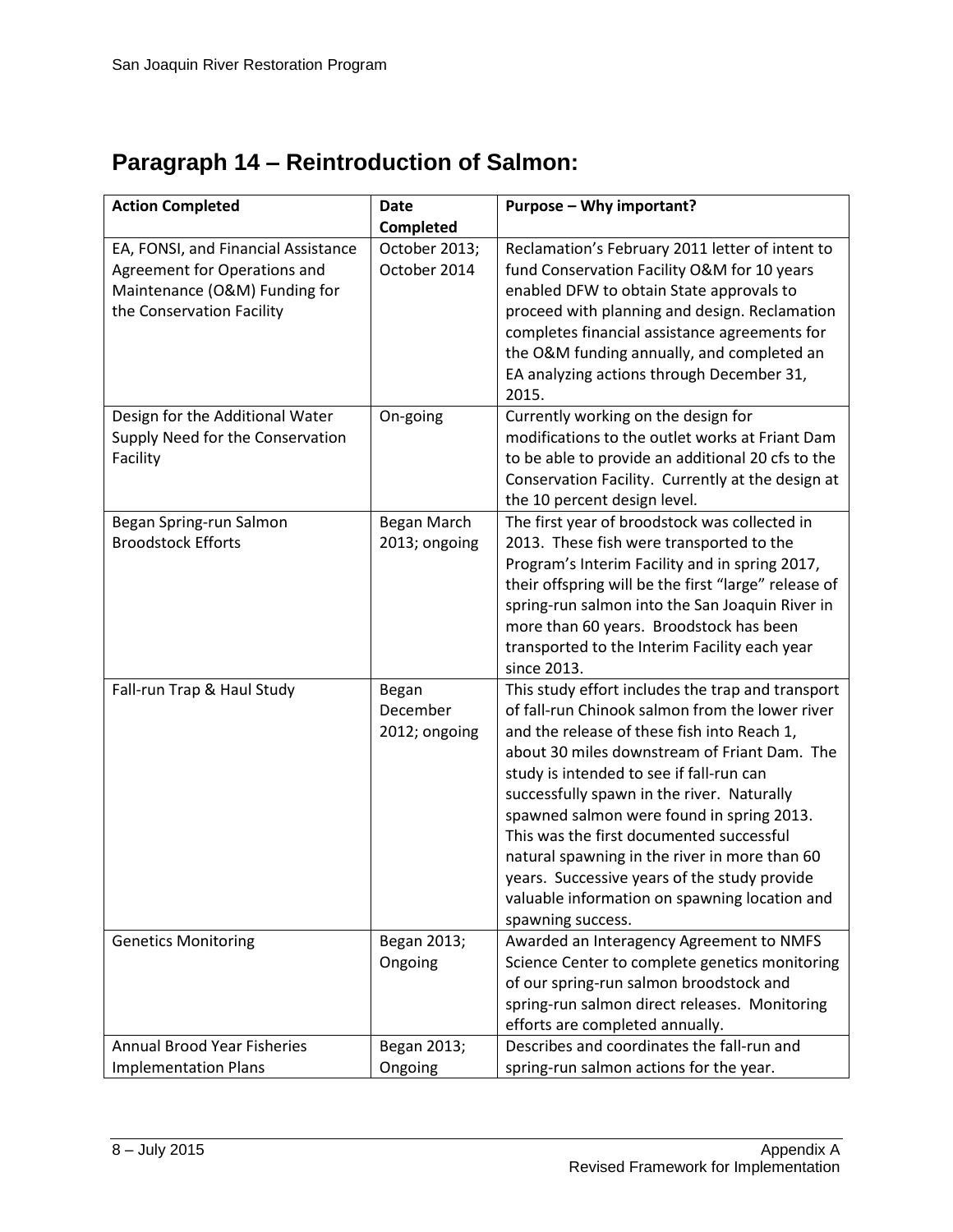# **Paragraph 14 – Reintroduction of Salmon:**

| <b>Action Completed</b>                                                                                                           | <b>Date</b>                        | Purpose - Why important?                                                                                                                                                                                                                                                                                                                                                                                                                                                                                                                                      |
|-----------------------------------------------------------------------------------------------------------------------------------|------------------------------------|---------------------------------------------------------------------------------------------------------------------------------------------------------------------------------------------------------------------------------------------------------------------------------------------------------------------------------------------------------------------------------------------------------------------------------------------------------------------------------------------------------------------------------------------------------------|
|                                                                                                                                   | Completed                          |                                                                                                                                                                                                                                                                                                                                                                                                                                                                                                                                                               |
| EA, FONSI, and Financial Assistance<br>Agreement for Operations and<br>Maintenance (O&M) Funding for<br>the Conservation Facility | October 2013;<br>October 2014      | Reclamation's February 2011 letter of intent to<br>fund Conservation Facility O&M for 10 years<br>enabled DFW to obtain State approvals to<br>proceed with planning and design. Reclamation<br>completes financial assistance agreements for<br>the O&M funding annually, and completed an<br>EA analyzing actions through December 31,<br>2015.                                                                                                                                                                                                              |
| Design for the Additional Water<br>Supply Need for the Conservation<br>Facility                                                   | On-going                           | Currently working on the design for<br>modifications to the outlet works at Friant Dam<br>to be able to provide an additional 20 cfs to the<br>Conservation Facility. Currently at the design at<br>the 10 percent design level.                                                                                                                                                                                                                                                                                                                              |
| Began Spring-run Salmon<br><b>Broodstock Efforts</b>                                                                              | Began March<br>2013; ongoing       | The first year of broodstock was collected in<br>2013. These fish were transported to the<br>Program's Interim Facility and in spring 2017,<br>their offspring will be the first "large" release of<br>spring-run salmon into the San Joaquin River in<br>more than 60 years. Broodstock has been<br>transported to the Interim Facility each year<br>since 2013.                                                                                                                                                                                             |
| Fall-run Trap & Haul Study                                                                                                        | Began<br>December<br>2012; ongoing | This study effort includes the trap and transport<br>of fall-run Chinook salmon from the lower river<br>and the release of these fish into Reach 1,<br>about 30 miles downstream of Friant Dam. The<br>study is intended to see if fall-run can<br>successfully spawn in the river. Naturally<br>spawned salmon were found in spring 2013.<br>This was the first documented successful<br>natural spawning in the river in more than 60<br>years. Successive years of the study provide<br>valuable information on spawning location and<br>spawning success. |
| <b>Genetics Monitoring</b>                                                                                                        | Began 2013;<br>Ongoing             | Awarded an Interagency Agreement to NMFS<br>Science Center to complete genetics monitoring<br>of our spring-run salmon broodstock and<br>spring-run salmon direct releases. Monitoring<br>efforts are completed annually.                                                                                                                                                                                                                                                                                                                                     |
| <b>Annual Brood Year Fisheries</b><br><b>Implementation Plans</b>                                                                 | Began 2013;<br>Ongoing             | Describes and coordinates the fall-run and<br>spring-run salmon actions for the year.                                                                                                                                                                                                                                                                                                                                                                                                                                                                         |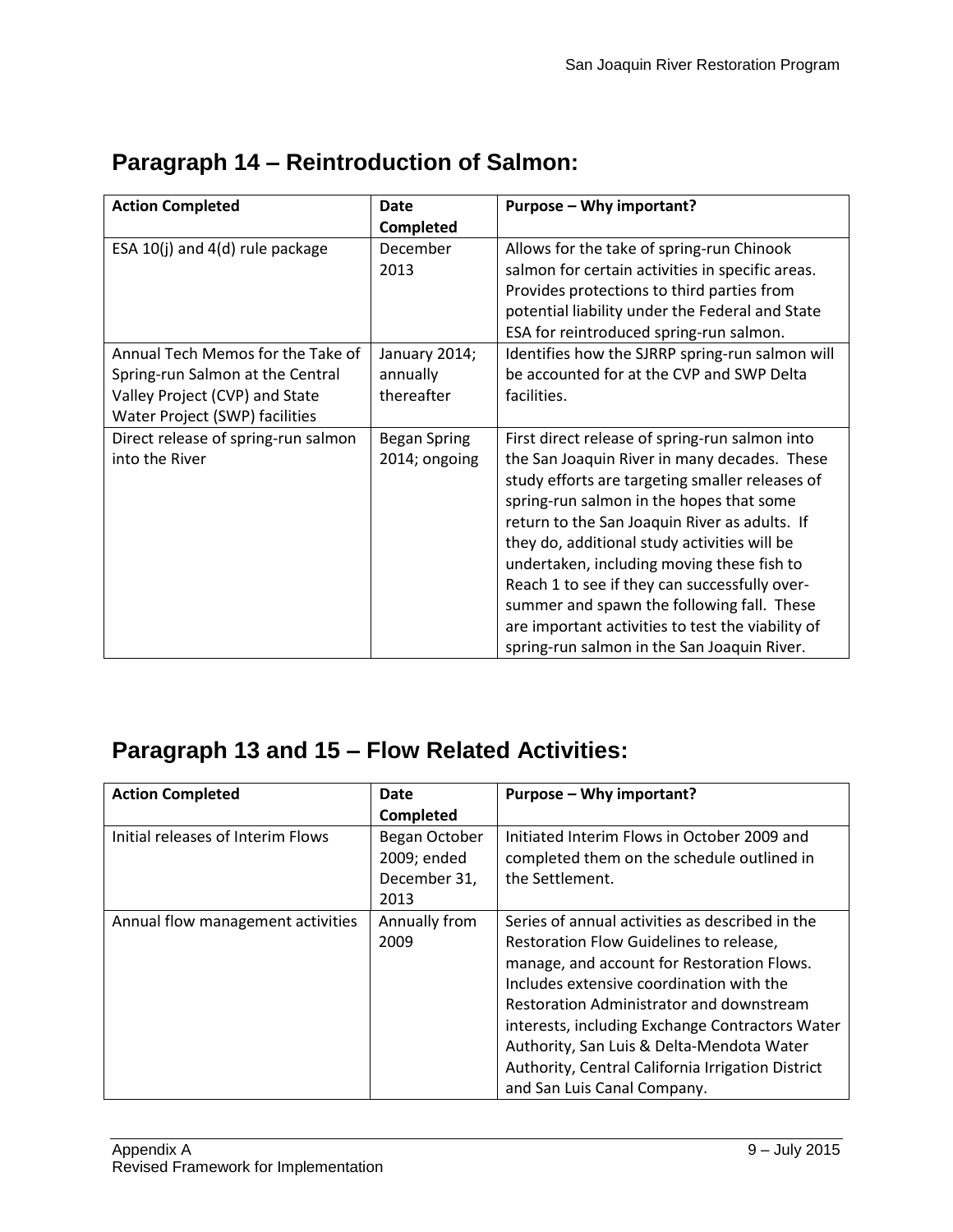| <b>Action Completed</b>             | <b>Date</b>         | Purpose - Why important?                          |
|-------------------------------------|---------------------|---------------------------------------------------|
|                                     | Completed           |                                                   |
| ESA 10(j) and 4(d) rule package     | December            | Allows for the take of spring-run Chinook         |
|                                     | 2013                | salmon for certain activities in specific areas.  |
|                                     |                     | Provides protections to third parties from        |
|                                     |                     | potential liability under the Federal and State   |
|                                     |                     | ESA for reintroduced spring-run salmon.           |
| Annual Tech Memos for the Take of   | January 2014;       | Identifies how the SJRRP spring-run salmon will   |
| Spring-run Salmon at the Central    | annually            | be accounted for at the CVP and SWP Delta         |
| Valley Project (CVP) and State      | thereafter          | facilities.                                       |
| Water Project (SWP) facilities      |                     |                                                   |
| Direct release of spring-run salmon | <b>Began Spring</b> | First direct release of spring-run salmon into    |
| into the River                      | 2014; ongoing       | the San Joaquin River in many decades. These      |
|                                     |                     | study efforts are targeting smaller releases of   |
|                                     |                     | spring-run salmon in the hopes that some          |
|                                     |                     | return to the San Joaquin River as adults. If     |
|                                     |                     | they do, additional study activities will be      |
|                                     |                     | undertaken, including moving these fish to        |
|                                     |                     | Reach 1 to see if they can successfully over-     |
|                                     |                     | summer and spawn the following fall. These        |
|                                     |                     | are important activities to test the viability of |
|                                     |                     | spring-run salmon in the San Joaquin River.       |

# **Paragraph 14 – Reintroduction of Salmon:**

| <b>Action Completed</b>           | Date          | Purpose - Why important?                          |
|-----------------------------------|---------------|---------------------------------------------------|
|                                   | Completed     |                                                   |
| Initial releases of Interim Flows | Began October | Initiated Interim Flows in October 2009 and       |
|                                   | 2009; ended   | completed them on the schedule outlined in        |
|                                   | December 31,  | the Settlement.                                   |
|                                   | 2013          |                                                   |
| Annual flow management activities | Annually from | Series of annual activities as described in the   |
|                                   | 2009          | Restoration Flow Guidelines to release,           |
|                                   |               | manage, and account for Restoration Flows.        |
|                                   |               | Includes extensive coordination with the          |
|                                   |               | Restoration Administrator and downstream          |
|                                   |               | interests, including Exchange Contractors Water   |
|                                   |               | Authority, San Luis & Delta-Mendota Water         |
|                                   |               | Authority, Central California Irrigation District |
|                                   |               | and San Luis Canal Company.                       |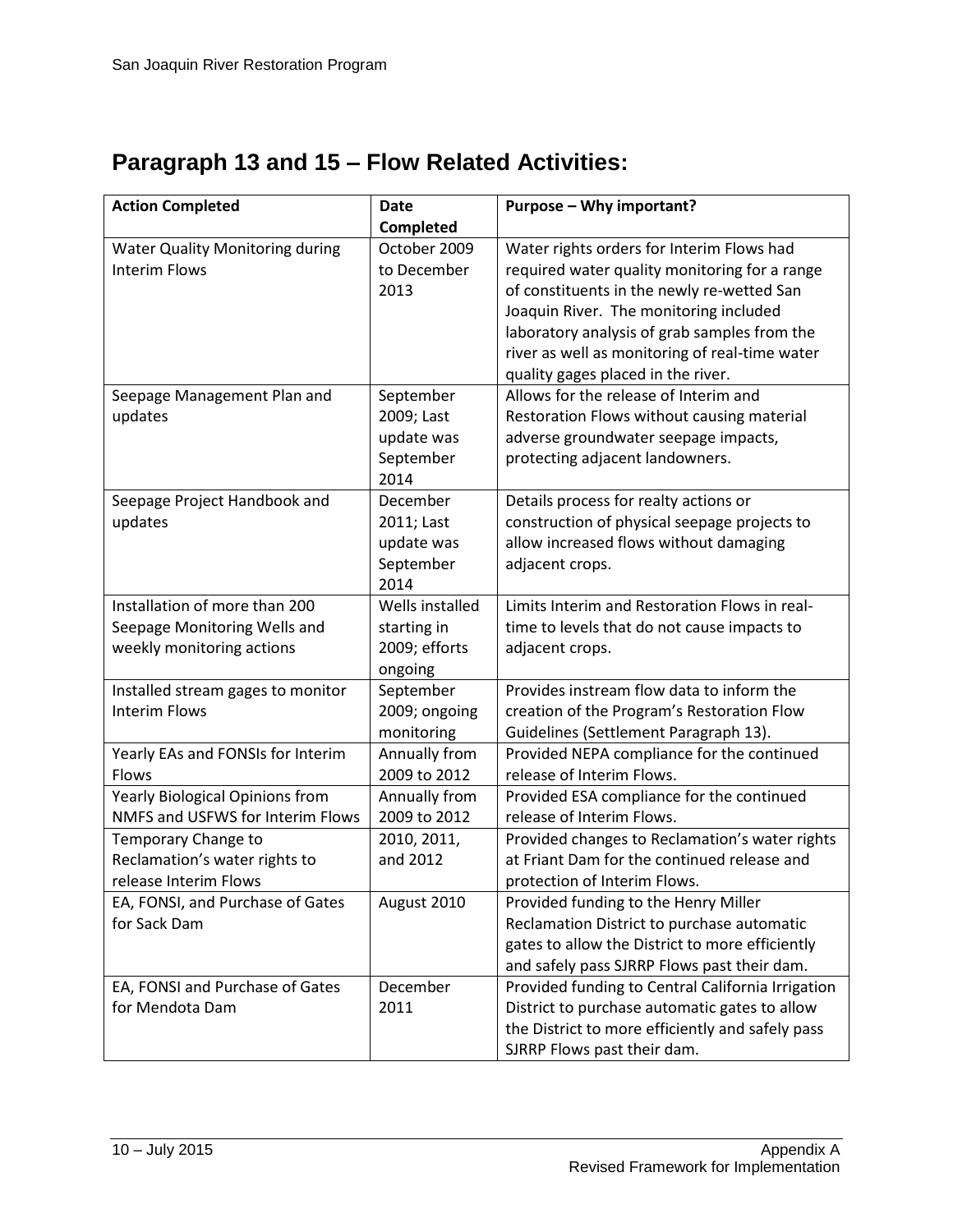| <b>Action Completed</b>                | <b>Date</b>     | Purpose - Why important?                          |
|----------------------------------------|-----------------|---------------------------------------------------|
|                                        | Completed       |                                                   |
| <b>Water Quality Monitoring during</b> | October 2009    | Water rights orders for Interim Flows had         |
| <b>Interim Flows</b>                   | to December     | required water quality monitoring for a range     |
|                                        | 2013            | of constituents in the newly re-wetted San        |
|                                        |                 | Joaquin River. The monitoring included            |
|                                        |                 | laboratory analysis of grab samples from the      |
|                                        |                 | river as well as monitoring of real-time water    |
|                                        |                 | quality gages placed in the river.                |
| Seepage Management Plan and            | September       | Allows for the release of Interim and             |
| updates                                | 2009; Last      | Restoration Flows without causing material        |
|                                        | update was      | adverse groundwater seepage impacts,              |
|                                        | September       | protecting adjacent landowners.                   |
|                                        | 2014            |                                                   |
| Seepage Project Handbook and           | December        | Details process for realty actions or             |
| updates                                | 2011; Last      | construction of physical seepage projects to      |
|                                        | update was      | allow increased flows without damaging            |
|                                        | September       | adjacent crops.                                   |
|                                        | 2014            |                                                   |
| Installation of more than 200          | Wells installed | Limits Interim and Restoration Flows in real-     |
| Seepage Monitoring Wells and           | starting in     | time to levels that do not cause impacts to       |
| weekly monitoring actions              | 2009; efforts   | adjacent crops.                                   |
|                                        | ongoing         |                                                   |
| Installed stream gages to monitor      | September       | Provides instream flow data to inform the         |
| <b>Interim Flows</b>                   | 2009; ongoing   | creation of the Program's Restoration Flow        |
|                                        | monitoring      | Guidelines (Settlement Paragraph 13).             |
| Yearly EAs and FONSIs for Interim      | Annually from   | Provided NEPA compliance for the continued        |
| Flows                                  | 2009 to 2012    | release of Interim Flows.                         |
| Yearly Biological Opinions from        | Annually from   | Provided ESA compliance for the continued         |
| NMFS and USFWS for Interim Flows       | 2009 to 2012    | release of Interim Flows.                         |
| Temporary Change to                    | 2010, 2011,     | Provided changes to Reclamation's water rights    |
| Reclamation's water rights to          | and 2012        | at Friant Dam for the continued release and       |
| release Interim Flows                  |                 | protection of Interim Flows.                      |
| EA, FONSI, and Purchase of Gates       | August 2010     | Provided funding to the Henry Miller              |
| for Sack Dam                           |                 | Reclamation District to purchase automatic        |
|                                        |                 | gates to allow the District to more efficiently   |
|                                        |                 | and safely pass SJRRP Flows past their dam.       |
| EA, FONSI and Purchase of Gates        | December        | Provided funding to Central California Irrigation |
| for Mendota Dam                        | 2011            | District to purchase automatic gates to allow     |
|                                        |                 | the District to more efficiently and safely pass  |
|                                        |                 | SJRRP Flows past their dam.                       |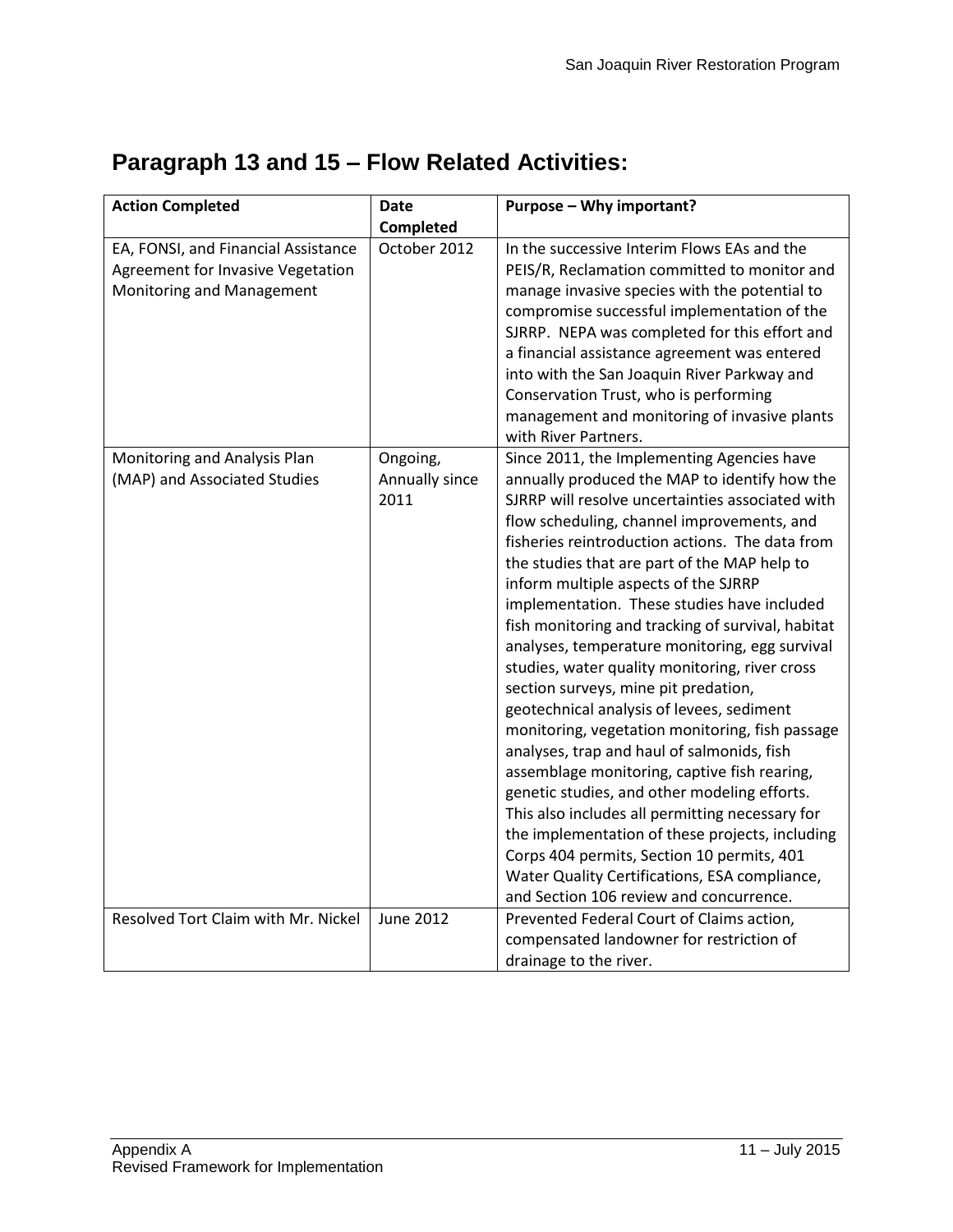| <b>Action Completed</b>             | <b>Date</b>      | Purpose - Why important?                                                                 |
|-------------------------------------|------------------|------------------------------------------------------------------------------------------|
|                                     | Completed        |                                                                                          |
| EA, FONSI, and Financial Assistance | October 2012     | In the successive Interim Flows EAs and the                                              |
| Agreement for Invasive Vegetation   |                  | PEIS/R, Reclamation committed to monitor and                                             |
| Monitoring and Management           |                  | manage invasive species with the potential to                                            |
|                                     |                  | compromise successful implementation of the                                              |
|                                     |                  | SJRRP. NEPA was completed for this effort and                                            |
|                                     |                  | a financial assistance agreement was entered                                             |
|                                     |                  | into with the San Joaquin River Parkway and                                              |
|                                     |                  | Conservation Trust, who is performing                                                    |
|                                     |                  | management and monitoring of invasive plants                                             |
|                                     |                  | with River Partners.                                                                     |
| Monitoring and Analysis Plan        | Ongoing,         | Since 2011, the Implementing Agencies have                                               |
| (MAP) and Associated Studies        | Annually since   | annually produced the MAP to identify how the                                            |
|                                     | 2011             | SJRRP will resolve uncertainties associated with                                         |
|                                     |                  | flow scheduling, channel improvements, and                                               |
|                                     |                  | fisheries reintroduction actions. The data from                                          |
|                                     |                  | the studies that are part of the MAP help to                                             |
|                                     |                  | inform multiple aspects of the SJRRP                                                     |
|                                     |                  | implementation. These studies have included                                              |
|                                     |                  | fish monitoring and tracking of survival, habitat                                        |
|                                     |                  | analyses, temperature monitoring, egg survival                                           |
|                                     |                  | studies, water quality monitoring, river cross                                           |
|                                     |                  | section surveys, mine pit predation,                                                     |
|                                     |                  | geotechnical analysis of levees, sediment                                                |
|                                     |                  | monitoring, vegetation monitoring, fish passage                                          |
|                                     |                  | analyses, trap and haul of salmonids, fish                                               |
|                                     |                  | assemblage monitoring, captive fish rearing,                                             |
|                                     |                  | genetic studies, and other modeling efforts.                                             |
|                                     |                  | This also includes all permitting necessary for                                          |
|                                     |                  | the implementation of these projects, including                                          |
|                                     |                  | Corps 404 permits, Section 10 permits, 401                                               |
|                                     |                  | Water Quality Certifications, ESA compliance,<br>and Section 106 review and concurrence. |
| Resolved Tort Claim with Mr. Nickel | <b>June 2012</b> | Prevented Federal Court of Claims action,                                                |
|                                     |                  |                                                                                          |
|                                     |                  | compensated landowner for restriction of                                                 |
|                                     |                  | drainage to the river.                                                                   |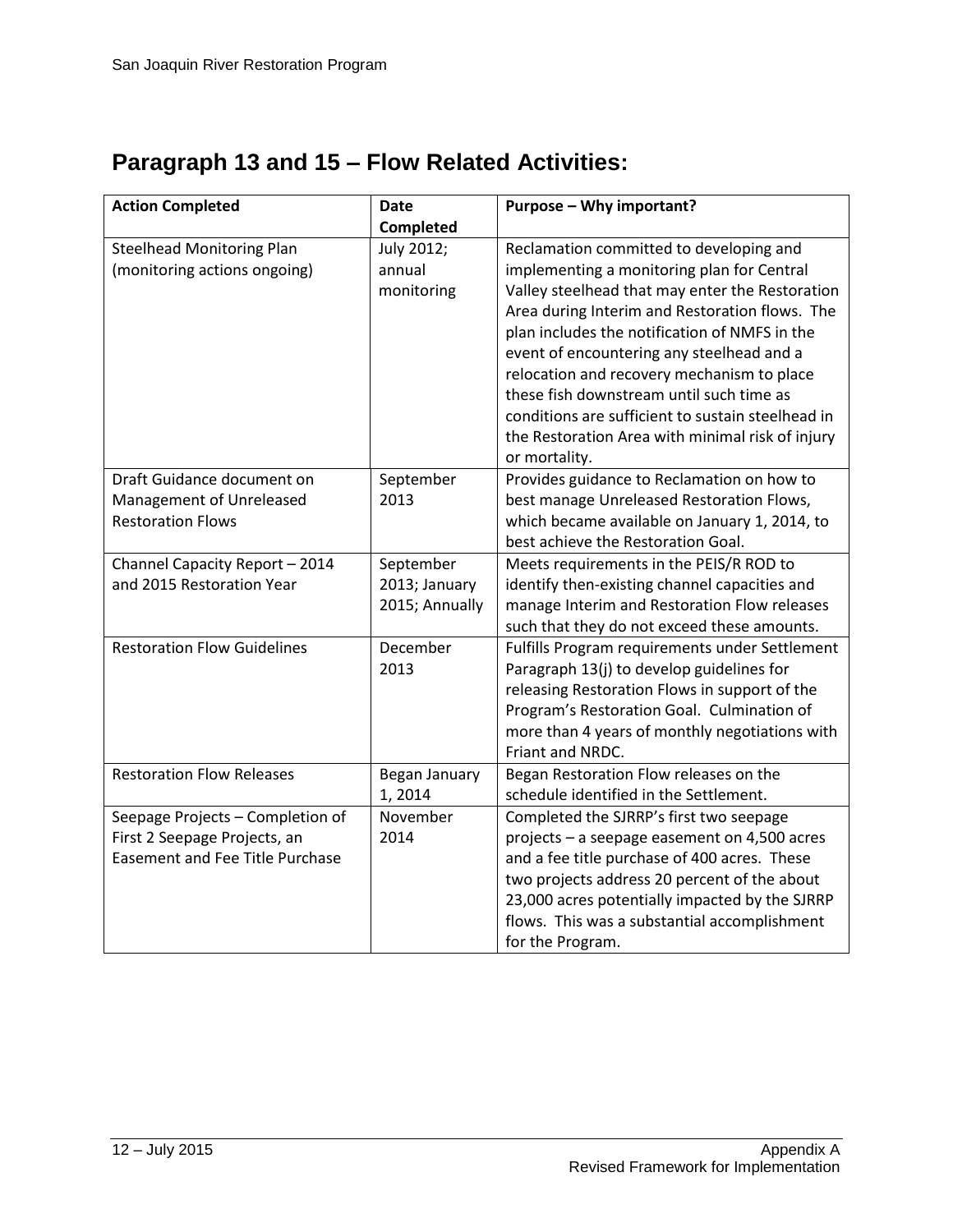| <b>Action Completed</b>                | Date           | Purpose - Why important?                          |
|----------------------------------------|----------------|---------------------------------------------------|
|                                        | Completed      |                                                   |
| <b>Steelhead Monitoring Plan</b>       | July 2012;     | Reclamation committed to developing and           |
| (monitoring actions ongoing)           | annual         | implementing a monitoring plan for Central        |
|                                        | monitoring     | Valley steelhead that may enter the Restoration   |
|                                        |                | Area during Interim and Restoration flows. The    |
|                                        |                | plan includes the notification of NMFS in the     |
|                                        |                | event of encountering any steelhead and a         |
|                                        |                | relocation and recovery mechanism to place        |
|                                        |                | these fish downstream until such time as          |
|                                        |                | conditions are sufficient to sustain steelhead in |
|                                        |                | the Restoration Area with minimal risk of injury  |
|                                        |                | or mortality.                                     |
| Draft Guidance document on             | September      | Provides guidance to Reclamation on how to        |
| Management of Unreleased               | 2013           | best manage Unreleased Restoration Flows,         |
| <b>Restoration Flows</b>               |                | which became available on January 1, 2014, to     |
|                                        |                | best achieve the Restoration Goal.                |
| Channel Capacity Report - 2014         | September      | Meets requirements in the PEIS/R ROD to           |
| and 2015 Restoration Year              | 2013; January  | identify then-existing channel capacities and     |
|                                        | 2015; Annually | manage Interim and Restoration Flow releases      |
|                                        |                | such that they do not exceed these amounts.       |
| <b>Restoration Flow Guidelines</b>     | December       | Fulfills Program requirements under Settlement    |
|                                        | 2013           | Paragraph 13(j) to develop guidelines for         |
|                                        |                | releasing Restoration Flows in support of the     |
|                                        |                | Program's Restoration Goal. Culmination of        |
|                                        |                | more than 4 years of monthly negotiations with    |
|                                        |                | Friant and NRDC.                                  |
| <b>Restoration Flow Releases</b>       | Began January  | Began Restoration Flow releases on the            |
|                                        | 1,2014         | schedule identified in the Settlement.            |
| Seepage Projects - Completion of       | November       | Completed the SJRRP's first two seepage           |
| First 2 Seepage Projects, an           | 2014           | projects - a seepage easement on 4,500 acres      |
| <b>Easement and Fee Title Purchase</b> |                | and a fee title purchase of 400 acres. These      |
|                                        |                | two projects address 20 percent of the about      |
|                                        |                | 23,000 acres potentially impacted by the SJRRP    |
|                                        |                | flows. This was a substantial accomplishment      |
|                                        |                | for the Program.                                  |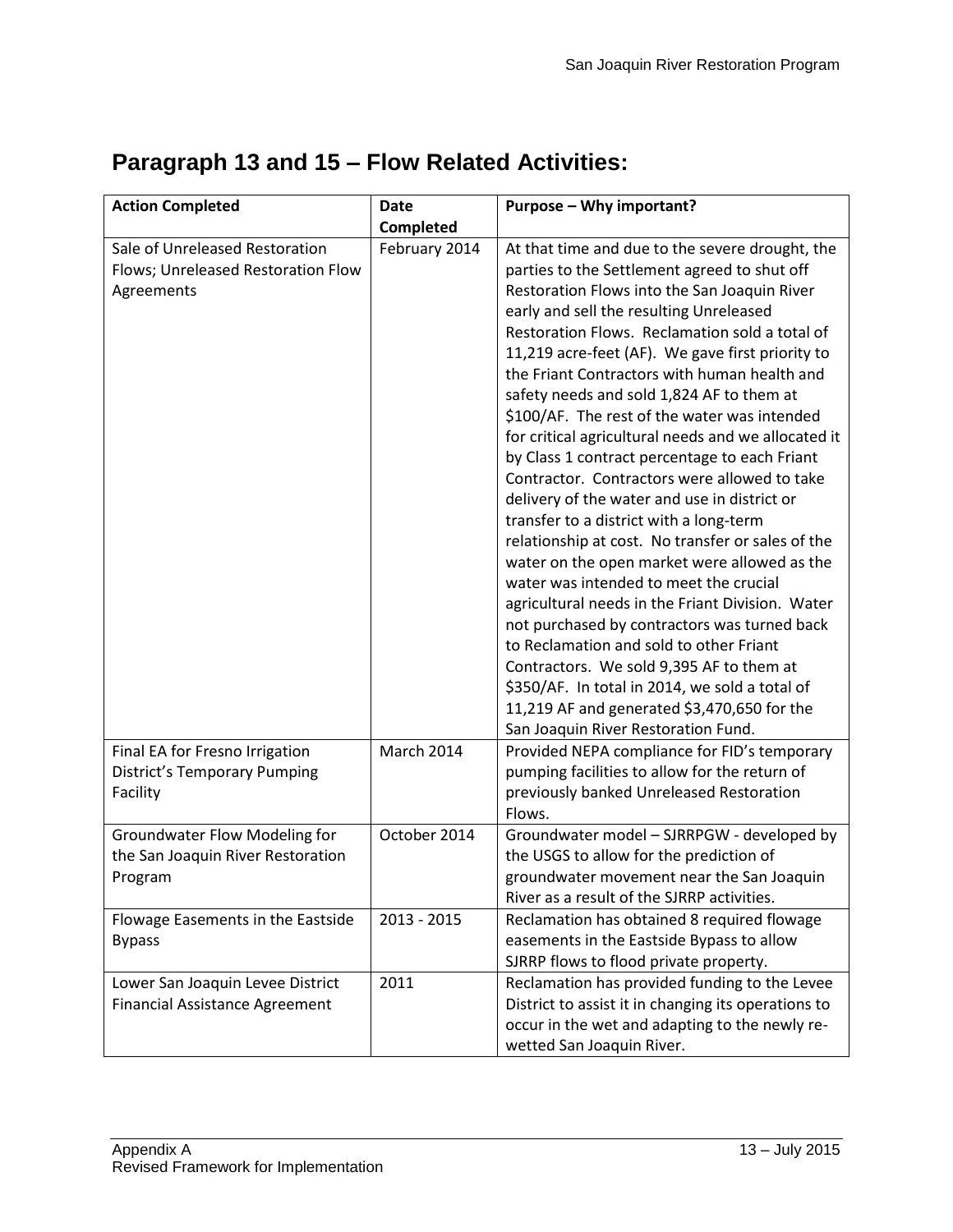| <b>Action Completed</b>                                                            | <b>Date</b>   | Purpose - Why important?                                                                                                                                                                                                                                                                                                                                                                                                                                                                                                                                                                                                                                                                                                                                                                                                                                                                                                                                                                                                                                                                                                                    |
|------------------------------------------------------------------------------------|---------------|---------------------------------------------------------------------------------------------------------------------------------------------------------------------------------------------------------------------------------------------------------------------------------------------------------------------------------------------------------------------------------------------------------------------------------------------------------------------------------------------------------------------------------------------------------------------------------------------------------------------------------------------------------------------------------------------------------------------------------------------------------------------------------------------------------------------------------------------------------------------------------------------------------------------------------------------------------------------------------------------------------------------------------------------------------------------------------------------------------------------------------------------|
|                                                                                    | Completed     |                                                                                                                                                                                                                                                                                                                                                                                                                                                                                                                                                                                                                                                                                                                                                                                                                                                                                                                                                                                                                                                                                                                                             |
| Sale of Unreleased Restoration<br>Flows; Unreleased Restoration Flow<br>Agreements | February 2014 | At that time and due to the severe drought, the<br>parties to the Settlement agreed to shut off<br>Restoration Flows into the San Joaquin River<br>early and sell the resulting Unreleased<br>Restoration Flows. Reclamation sold a total of<br>11,219 acre-feet (AF). We gave first priority to<br>the Friant Contractors with human health and<br>safety needs and sold 1,824 AF to them at<br>\$100/AF. The rest of the water was intended<br>for critical agricultural needs and we allocated it<br>by Class 1 contract percentage to each Friant<br>Contractor. Contractors were allowed to take<br>delivery of the water and use in district or<br>transfer to a district with a long-term<br>relationship at cost. No transfer or sales of the<br>water on the open market were allowed as the<br>water was intended to meet the crucial<br>agricultural needs in the Friant Division. Water<br>not purchased by contractors was turned back<br>to Reclamation and sold to other Friant<br>Contractors. We sold 9,395 AF to them at<br>\$350/AF. In total in 2014, we sold a total of<br>11,219 AF and generated \$3,470,650 for the |
| Final EA for Fresno Irrigation<br><b>District's Temporary Pumping</b><br>Facility  | March 2014    | San Joaquin River Restoration Fund.<br>Provided NEPA compliance for FID's temporary<br>pumping facilities to allow for the return of<br>previously banked Unreleased Restoration<br>Flows.                                                                                                                                                                                                                                                                                                                                                                                                                                                                                                                                                                                                                                                                                                                                                                                                                                                                                                                                                  |
| Groundwater Flow Modeling for<br>the San Joaquin River Restoration<br>Program      | October 2014  | Groundwater model - SJRRPGW - developed by<br>the USGS to allow for the prediction of<br>groundwater movement near the San Joaquin<br>River as a result of the SJRRP activities.                                                                                                                                                                                                                                                                                                                                                                                                                                                                                                                                                                                                                                                                                                                                                                                                                                                                                                                                                            |
| Flowage Easements in the Eastside<br><b>Bypass</b>                                 | $2013 - 2015$ | Reclamation has obtained 8 required flowage<br>easements in the Eastside Bypass to allow<br>SJRRP flows to flood private property.                                                                                                                                                                                                                                                                                                                                                                                                                                                                                                                                                                                                                                                                                                                                                                                                                                                                                                                                                                                                          |
| Lower San Joaquin Levee District<br><b>Financial Assistance Agreement</b>          | 2011          | Reclamation has provided funding to the Levee<br>District to assist it in changing its operations to<br>occur in the wet and adapting to the newly re-<br>wetted San Joaquin River.                                                                                                                                                                                                                                                                                                                                                                                                                                                                                                                                                                                                                                                                                                                                                                                                                                                                                                                                                         |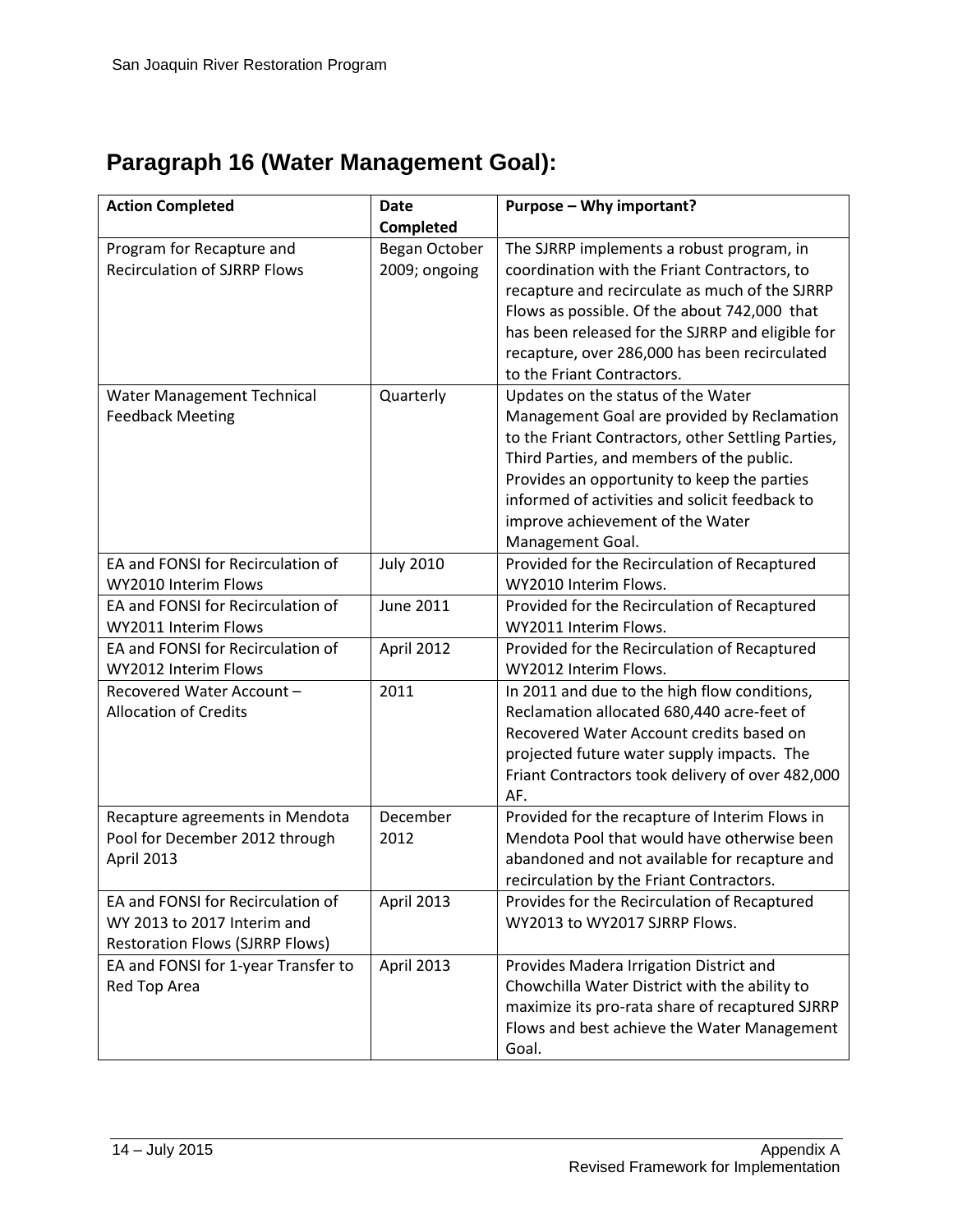# **Paragraph 16 (Water Management Goal):**

| <b>Action Completed</b>                                                                                    | <b>Date</b>                    | Purpose - Why important?                                                                                                                                                                                                                                                                                                                      |
|------------------------------------------------------------------------------------------------------------|--------------------------------|-----------------------------------------------------------------------------------------------------------------------------------------------------------------------------------------------------------------------------------------------------------------------------------------------------------------------------------------------|
|                                                                                                            | Completed                      |                                                                                                                                                                                                                                                                                                                                               |
| Program for Recapture and<br><b>Recirculation of SJRRP Flows</b>                                           | Began October<br>2009; ongoing | The SJRRP implements a robust program, in<br>coordination with the Friant Contractors, to<br>recapture and recirculate as much of the SJRRP<br>Flows as possible. Of the about 742,000 that<br>has been released for the SJRRP and eligible for<br>recapture, over 286,000 has been recirculated<br>to the Friant Contractors.                |
| Water Management Technical<br><b>Feedback Meeting</b>                                                      | Quarterly                      | Updates on the status of the Water<br>Management Goal are provided by Reclamation<br>to the Friant Contractors, other Settling Parties,<br>Third Parties, and members of the public.<br>Provides an opportunity to keep the parties<br>informed of activities and solicit feedback to<br>improve achievement of the Water<br>Management Goal. |
| EA and FONSI for Recirculation of<br>WY2010 Interim Flows                                                  | <b>July 2010</b>               | Provided for the Recirculation of Recaptured<br>WY2010 Interim Flows.                                                                                                                                                                                                                                                                         |
| EA and FONSI for Recirculation of<br>WY2011 Interim Flows                                                  | <b>June 2011</b>               | Provided for the Recirculation of Recaptured<br>WY2011 Interim Flows.                                                                                                                                                                                                                                                                         |
| EA and FONSI for Recirculation of<br>WY2012 Interim Flows                                                  | April 2012                     | Provided for the Recirculation of Recaptured<br>WY2012 Interim Flows.                                                                                                                                                                                                                                                                         |
| Recovered Water Account -<br><b>Allocation of Credits</b>                                                  | 2011                           | In 2011 and due to the high flow conditions,<br>Reclamation allocated 680,440 acre-feet of<br>Recovered Water Account credits based on<br>projected future water supply impacts. The<br>Friant Contractors took delivery of over 482,000<br>AF.                                                                                               |
| Recapture agreements in Mendota<br>Pool for December 2012 through<br>April 2013                            | December<br>2012               | Provided for the recapture of Interim Flows in<br>Mendota Pool that would have otherwise been<br>abandoned and not available for recapture and<br>recirculation by the Friant Contractors.                                                                                                                                                    |
| EA and FONSI for Recirculation of<br>WY 2013 to 2017 Interim and<br><b>Restoration Flows (SJRRP Flows)</b> | April 2013                     | Provides for the Recirculation of Recaptured<br>WY2013 to WY2017 SJRRP Flows.                                                                                                                                                                                                                                                                 |
| EA and FONSI for 1-year Transfer to<br>Red Top Area                                                        | April 2013                     | Provides Madera Irrigation District and<br>Chowchilla Water District with the ability to<br>maximize its pro-rata share of recaptured SJRRP<br>Flows and best achieve the Water Management<br>Goal.                                                                                                                                           |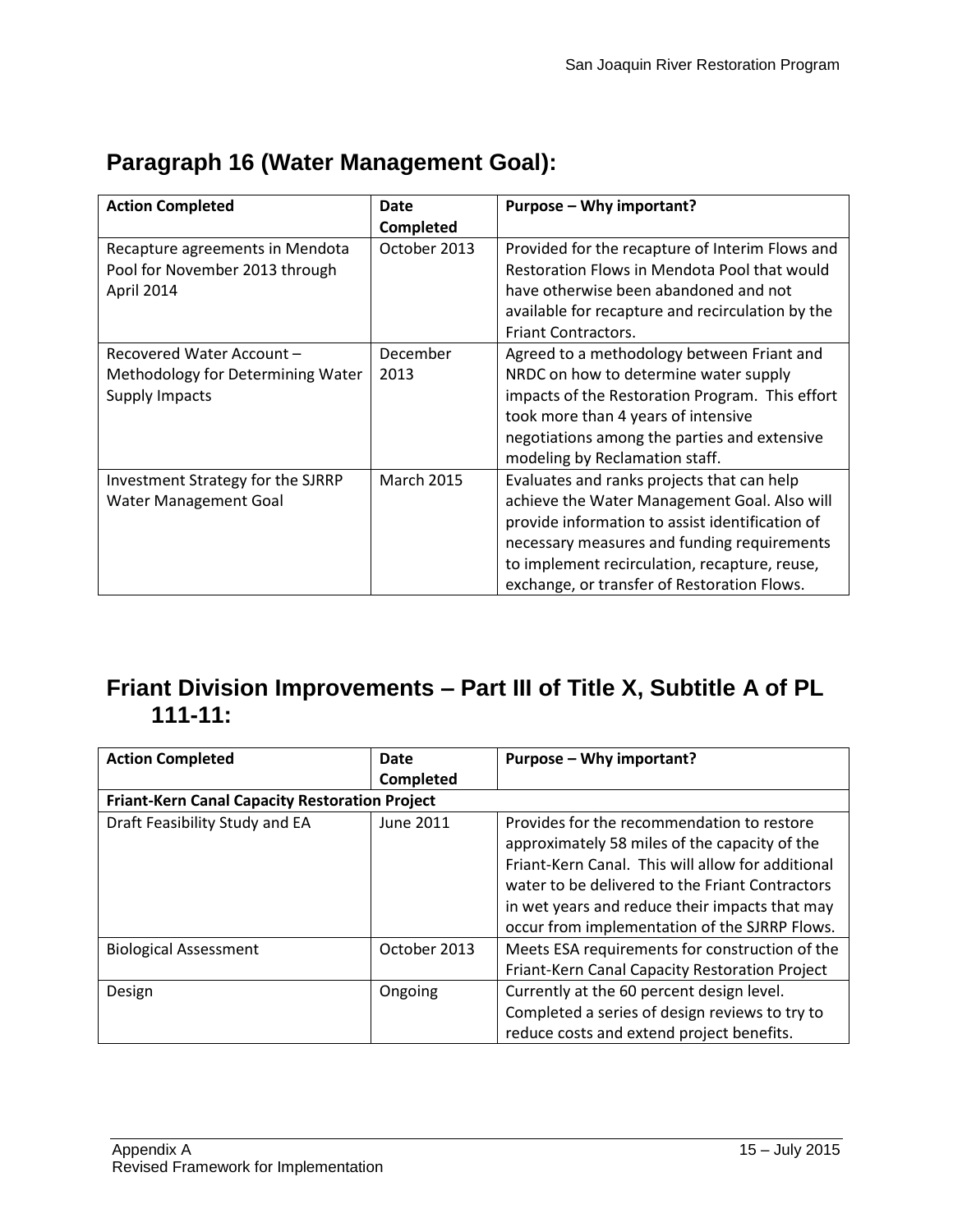| <b>Action Completed</b>           | Date              | Purpose - Why important?                         |
|-----------------------------------|-------------------|--------------------------------------------------|
|                                   | Completed         |                                                  |
| Recapture agreements in Mendota   | October 2013      | Provided for the recapture of Interim Flows and  |
| Pool for November 2013 through    |                   | Restoration Flows in Mendota Pool that would     |
| April 2014                        |                   | have otherwise been abandoned and not            |
|                                   |                   | available for recapture and recirculation by the |
|                                   |                   | <b>Friant Contractors.</b>                       |
| Recovered Water Account -         | December          | Agreed to a methodology between Friant and       |
| Methodology for Determining Water | 2013              | NRDC on how to determine water supply            |
| <b>Supply Impacts</b>             |                   | impacts of the Restoration Program. This effort  |
|                                   |                   | took more than 4 years of intensive              |
|                                   |                   | negotiations among the parties and extensive     |
|                                   |                   | modeling by Reclamation staff.                   |
| Investment Strategy for the SJRRP | <b>March 2015</b> | Evaluates and ranks projects that can help       |
| Water Management Goal             |                   | achieve the Water Management Goal. Also will     |
|                                   |                   | provide information to assist identification of  |
|                                   |                   | necessary measures and funding requirements      |
|                                   |                   | to implement recirculation, recapture, reuse,    |
|                                   |                   | exchange, or transfer of Restoration Flows.      |

# **Paragraph 16 (Water Management Goal):**

#### **Friant Division Improvements – Part III of Title X, Subtitle A of PL 111-11:**

| <b>Action Completed</b>                               | Date         | Purpose - Why important?                          |
|-------------------------------------------------------|--------------|---------------------------------------------------|
|                                                       | Completed    |                                                   |
| <b>Friant-Kern Canal Capacity Restoration Project</b> |              |                                                   |
| Draft Feasibility Study and EA                        | June 2011    | Provides for the recommendation to restore        |
|                                                       |              | approximately 58 miles of the capacity of the     |
|                                                       |              | Friant-Kern Canal. This will allow for additional |
|                                                       |              | water to be delivered to the Friant Contractors   |
|                                                       |              | in wet years and reduce their impacts that may    |
|                                                       |              | occur from implementation of the SJRRP Flows.     |
| <b>Biological Assessment</b>                          | October 2013 | Meets ESA requirements for construction of the    |
|                                                       |              | Friant-Kern Canal Capacity Restoration Project    |
| Design                                                | Ongoing      | Currently at the 60 percent design level.         |
|                                                       |              | Completed a series of design reviews to try to    |
|                                                       |              | reduce costs and extend project benefits.         |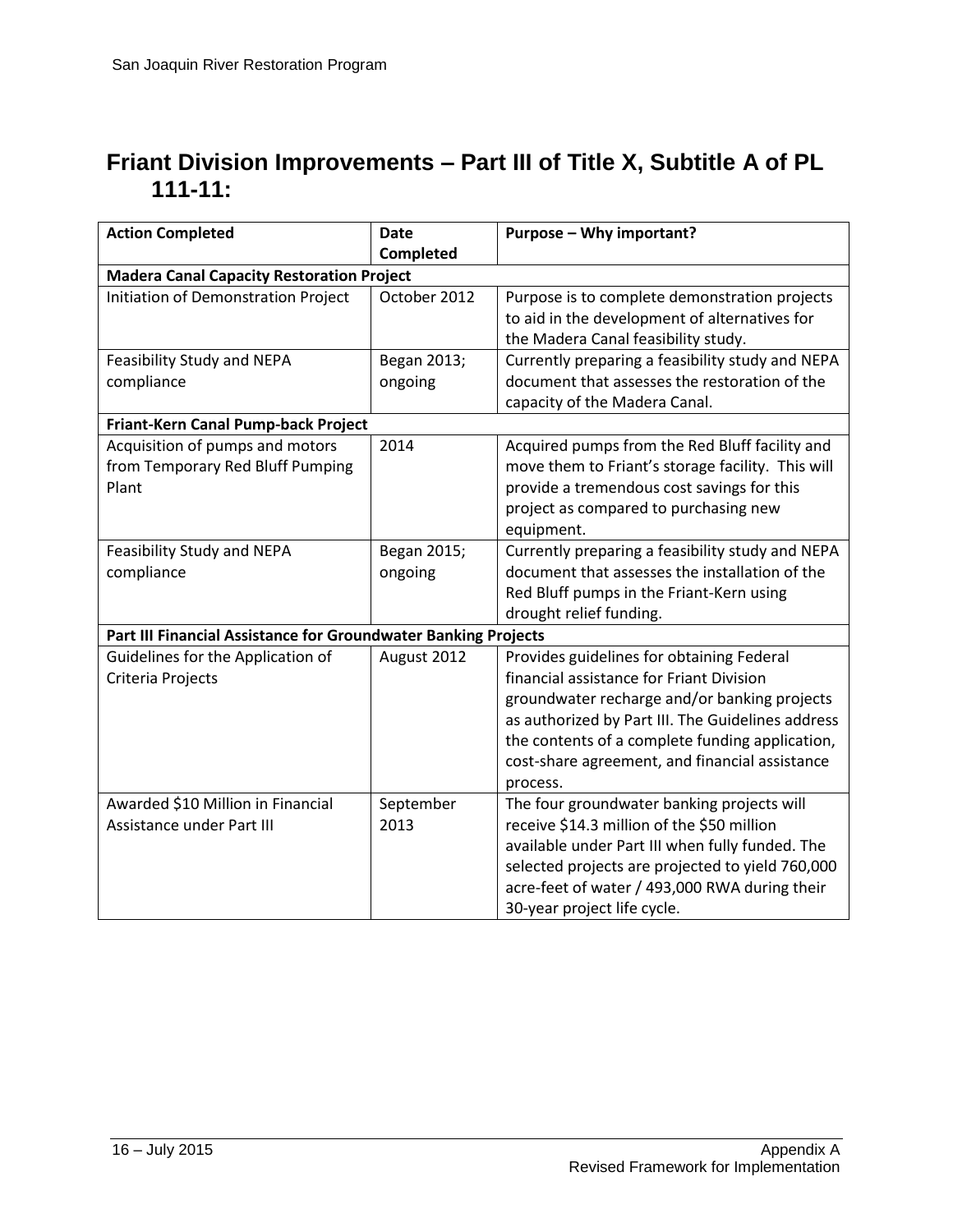#### **Friant Division Improvements – Part III of Title X, Subtitle A of PL 111-11:**

| <b>Action Completed</b>                                        | <b>Date</b>  | Purpose - Why important?                          |  |
|----------------------------------------------------------------|--------------|---------------------------------------------------|--|
|                                                                | Completed    |                                                   |  |
| <b>Madera Canal Capacity Restoration Project</b>               |              |                                                   |  |
| Initiation of Demonstration Project                            | October 2012 | Purpose is to complete demonstration projects     |  |
|                                                                |              | to aid in the development of alternatives for     |  |
|                                                                |              | the Madera Canal feasibility study.               |  |
| Feasibility Study and NEPA                                     | Began 2013;  | Currently preparing a feasibility study and NEPA  |  |
| compliance                                                     | ongoing      | document that assesses the restoration of the     |  |
|                                                                |              | capacity of the Madera Canal.                     |  |
| Friant-Kern Canal Pump-back Project                            |              |                                                   |  |
| Acquisition of pumps and motors                                | 2014         | Acquired pumps from the Red Bluff facility and    |  |
| from Temporary Red Bluff Pumping                               |              | move them to Friant's storage facility. This will |  |
| Plant                                                          |              | provide a tremendous cost savings for this        |  |
|                                                                |              | project as compared to purchasing new             |  |
|                                                                |              | equipment.                                        |  |
| Feasibility Study and NEPA                                     | Began 2015;  | Currently preparing a feasibility study and NEPA  |  |
| compliance                                                     | ongoing      | document that assesses the installation of the    |  |
|                                                                |              | Red Bluff pumps in the Friant-Kern using          |  |
|                                                                |              | drought relief funding.                           |  |
| Part III Financial Assistance for Groundwater Banking Projects |              |                                                   |  |
| Guidelines for the Application of                              | August 2012  | Provides guidelines for obtaining Federal         |  |
| Criteria Projects                                              |              | financial assistance for Friant Division          |  |
|                                                                |              | groundwater recharge and/or banking projects      |  |
|                                                                |              | as authorized by Part III. The Guidelines address |  |
|                                                                |              | the contents of a complete funding application,   |  |
|                                                                |              | cost-share agreement, and financial assistance    |  |
|                                                                |              | process.                                          |  |
| Awarded \$10 Million in Financial                              | September    | The four groundwater banking projects will        |  |
| <b>Assistance under Part III</b>                               | 2013         | receive \$14.3 million of the \$50 million        |  |
|                                                                |              | available under Part III when fully funded. The   |  |
|                                                                |              | selected projects are projected to yield 760,000  |  |
|                                                                |              | acre-feet of water / 493,000 RWA during their     |  |
|                                                                |              | 30-year project life cycle.                       |  |